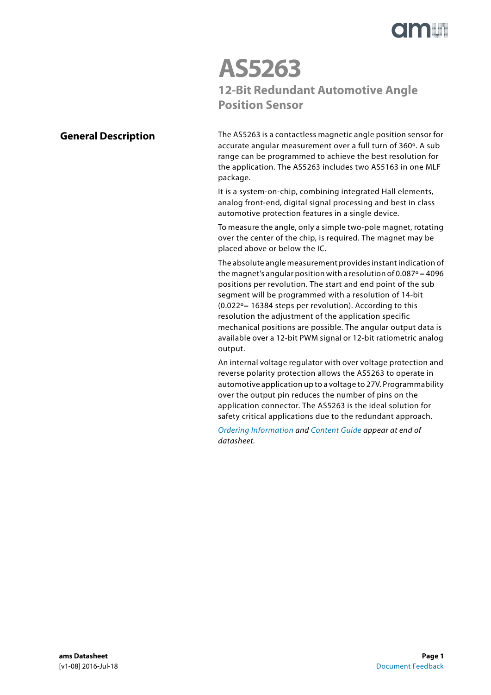

# **AS5263 12-Bit Redundant Automotive Angle Position Sensor**

### <span id="page-0-0"></span>**General Description**

The AS5263 is a contactless magnetic angle position sensor for accurate angular measurement over a full turn of 360º. A sub range can be programmed to achieve the best resolution for the application. The AS5263 includes two AS5163 in one MLF package.

It is a system-on-chip, combining integrated Hall elements, analog front-end, digital signal processing and best in class automotive protection features in a single device.

To measure the angle, only a simple two-pole magnet, rotating over the center of the chip, is required. The magnet may be placed above or below the IC.

The absolute angle measurement provides instant indication of the magnet's angular position with a resolution of 0.087 $\degree$  = 4096 positions per revolution. The start and end point of the sub segment will be programmed with a resolution of 14-bit  $(0.022°= 16384$  steps per revolution). According to this resolution the adjustment of the application specific mechanical positions are possible. The angular output data is available over a 12-bit PWM signal or 12-bit ratiometric analog output.

An internal voltage regulator with over voltage protection and reverse polarity protection allows the AS5263 to operate in automotive application up to a voltage to 27V. Programmability over the output pin reduces the number of pins on the application connector. The AS5263 is the ideal solution for safety critical applications due to the redundant approach.

[Ordering Information](#page-51-0) and [Content Guide a](#page-56-0)ppear at end of datasheet.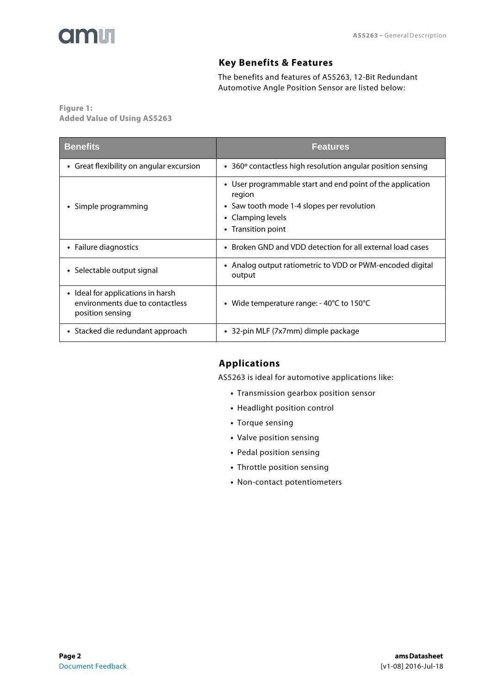<span id="page-1-0"></span>

#### **Key Benefits & Features**

The benefits and features of AS5263, 12-Bit Redundant Automotive Angle Position Sensor are listed below:

**Figure 1: Added Value of Using AS5263**

| <b>Benefits</b>                                                                          | <b>Features</b>                                                                                                                                               |
|------------------------------------------------------------------------------------------|---------------------------------------------------------------------------------------------------------------------------------------------------------------|
| • Great flexibility on angular excursion                                                 | $\bullet$ 360 $\circ$ contactless high resolution angular position sensing                                                                                    |
| • Simple programming                                                                     | • User programmable start and end point of the application<br>region<br>• Saw tooth mode 1-4 slopes per revolution<br>• Clamping levels<br>• Transition point |
| • Failure diagnostics                                                                    | • Broken GND and VDD detection for all external load cases                                                                                                    |
| • Selectable output signal                                                               | • Analog output ratiometric to VDD or PWM-encoded digital<br>output                                                                                           |
| • Ideal for applications in harsh<br>environments due to contactless<br>position sensing | • Wide temperature range: - 40°C to 150°C                                                                                                                     |
| • Stacked die redundant approach                                                         | • 32-pin MLF (7x7mm) dimple package                                                                                                                           |

# <span id="page-1-1"></span>**Applications**

AS5263 is ideal for automotive applications like:

- **•** Transmission gearbox position sensor
- **•** Headlight position control
- **•** Torque sensing
- **•** Valve position sensing
- **•** Pedal position sensing
- **•** Throttle position sensing
- **•** Non-contact potentiometers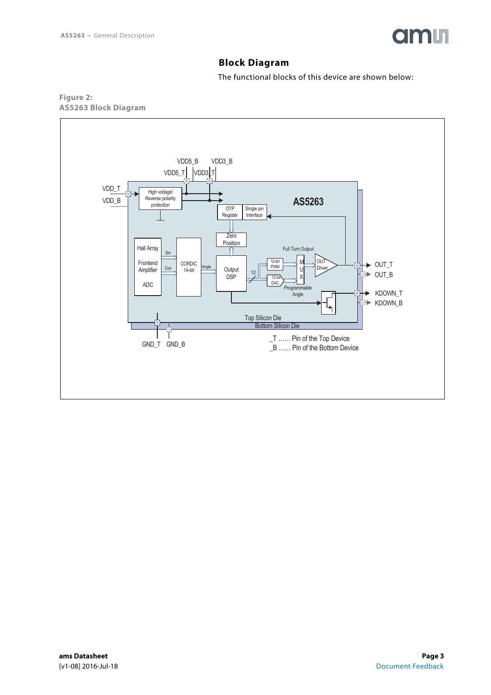

# **Block Diagram**

The functional blocks of this device are shown below:

<span id="page-2-1"></span><span id="page-2-0"></span>

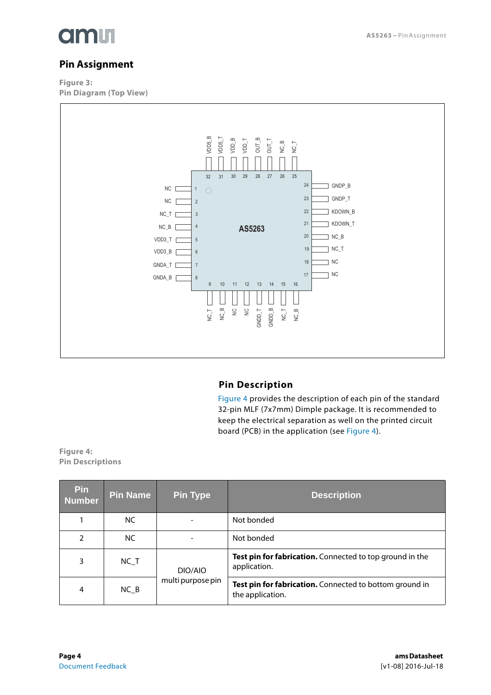

# <span id="page-3-1"></span>**Pin Assignment**

**Figure 3: Pin Diagram (Top View)** 



### **Pin Description**

[Figure 4](#page-3-0) provides the description of each pin of the standard 32-pin MLF (7x7mm) Dimple package. It is recommended to keep the electrical separation as well on the printed circuit board (PCB) in the application (see [Figure 4](#page-3-0)).

<span id="page-3-2"></span><span id="page-3-0"></span>**Figure 4: Pin Descriptions**

| <b>Pin</b><br><b>Number</b> | <b>Pin Name</b> | <b>Pin Type</b>   | <b>Description</b>                                                          |  |  |
|-----------------------------|-----------------|-------------------|-----------------------------------------------------------------------------|--|--|
|                             | NC.             |                   | Not bonded                                                                  |  |  |
| 2                           | NC.             |                   | Not bonded                                                                  |  |  |
| 3                           | $NC_T$          | DIO/AIO           | Test pin for fabrication. Connected to top ground in the<br>application.    |  |  |
| 4                           | $NC_B$          | multi purpose pin | Test pin for fabrication. Connected to bottom ground in<br>the application. |  |  |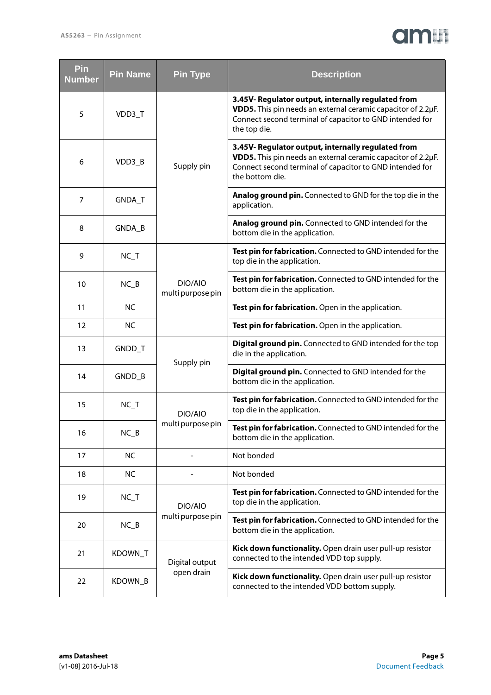# am

| Pin<br><b>Number</b> | <b>Pin Name</b> | <b>Pin Type</b>              | <b>Description</b>                                                                                                                                                                                |
|----------------------|-----------------|------------------------------|---------------------------------------------------------------------------------------------------------------------------------------------------------------------------------------------------|
| 5                    | VDD3_T          |                              | 3.45V- Regulator output, internally regulated from<br>VDD5. This pin needs an external ceramic capacitor of 2.2µF.<br>Connect second terminal of capacitor to GND intended for<br>the top die.    |
| 6                    | VDD3_B          | Supply pin                   | 3.45V- Regulator output, internally regulated from<br>VDD5. This pin needs an external ceramic capacitor of 2.2µF.<br>Connect second terminal of capacitor to GND intended for<br>the bottom die. |
| 7                    | GNDA_T          |                              | Analog ground pin. Connected to GND for the top die in the<br>application.                                                                                                                        |
| 8                    | GNDA_B          |                              | Analog ground pin. Connected to GND intended for the<br>bottom die in the application.                                                                                                            |
| 9                    | $NC_T$          |                              | Test pin for fabrication. Connected to GND intended for the<br>top die in the application.                                                                                                        |
| 10                   | $NC_B$          | DIO/AIO<br>multi purpose pin | Test pin for fabrication. Connected to GND intended for the<br>bottom die in the application.                                                                                                     |
| 11                   | <b>NC</b>       |                              | Test pin for fabrication. Open in the application.                                                                                                                                                |
| 12                   | <b>NC</b>       |                              | Test pin for fabrication. Open in the application.                                                                                                                                                |
| 13                   | GNDD_T          | Supply pin                   | Digital ground pin. Connected to GND intended for the top<br>die in the application.                                                                                                              |
| 14                   | GNDD_B          |                              | <b>Digital ground pin.</b> Connected to GND intended for the<br>bottom die in the application.                                                                                                    |
| 15                   | $NC_T$          | DIO/AIO                      | Test pin for fabrication. Connected to GND intended for the<br>top die in the application.                                                                                                        |
| 16                   | $NC_B$          | multi purpose pin            | Test pin for fabrication. Connected to GND intended for the<br>bottom die in the application.                                                                                                     |
| 17                   | <b>NC</b>       |                              | Not bonded                                                                                                                                                                                        |
| 18                   | <b>NC</b>       |                              | Not bonded                                                                                                                                                                                        |
| 19                   | $NC_T$          | DIO/AIO                      | Test pin for fabrication. Connected to GND intended for the<br>top die in the application.                                                                                                        |
| 20                   | $NC_B$          | multi purpose pin            | Test pin for fabrication. Connected to GND intended for the<br>bottom die in the application.                                                                                                     |
| 21                   | KDOWN_T         | Digital output               | Kick down functionality. Open drain user pull-up resistor<br>connected to the intended VDD top supply.                                                                                            |
| 22                   | KDOWN_B         | open drain                   | Kick down functionality. Open drain user pull-up resistor<br>connected to the intended VDD bottom supply.                                                                                         |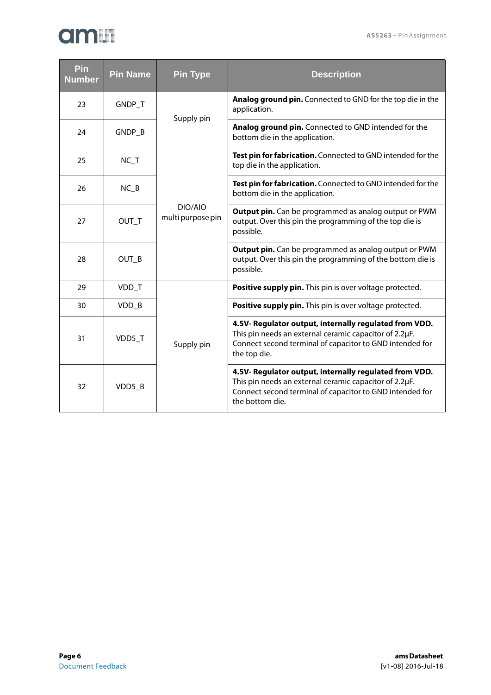| <b>Pin</b><br><b>Number</b> | <b>Pin Name</b> | <b>Pin Type</b>              | <b>Description</b>                                                                                                                                                                              |
|-----------------------------|-----------------|------------------------------|-------------------------------------------------------------------------------------------------------------------------------------------------------------------------------------------------|
| 23                          | GNDP_T          | Supply pin                   | Analog ground pin. Connected to GND for the top die in the<br>application.                                                                                                                      |
| 24                          | GNDP_B          |                              | Analog ground pin. Connected to GND intended for the<br>bottom die in the application.                                                                                                          |
| 25                          | $NC_T$          |                              | Test pin for fabrication. Connected to GND intended for the<br>top die in the application.                                                                                                      |
| 26                          | $NC_B$          |                              | Test pin for fabrication. Connected to GND intended for the<br>bottom die in the application.                                                                                                   |
| 27                          | OUT T           | DIO/AIO<br>multi purpose pin | <b>Output pin.</b> Can be programmed as analog output or PWM<br>output. Over this pin the programming of the top die is<br>possible.                                                            |
| 28                          | OUT B           |                              | <b>Output pin.</b> Can be programmed as analog output or PWM<br>output. Over this pin the programming of the bottom die is<br>possible.                                                         |
| 29                          | VDD_T           |                              | Positive supply pin. This pin is over voltage protected.                                                                                                                                        |
| 30                          | VDD_B           |                              | Positive supply pin. This pin is over voltage protected.                                                                                                                                        |
| 31                          | VDD5_T          | Supply pin                   | 4.5V- Regulator output, internally regulated from VDD.<br>This pin needs an external ceramic capacitor of 2.2µF.<br>Connect second terminal of capacitor to GND intended for<br>the top die.    |
| 32                          | VDD5 B          |                              | 4.5V- Regulator output, internally regulated from VDD.<br>This pin needs an external ceramic capacitor of 2.2µF.<br>Connect second terminal of capacitor to GND intended for<br>the bottom die. |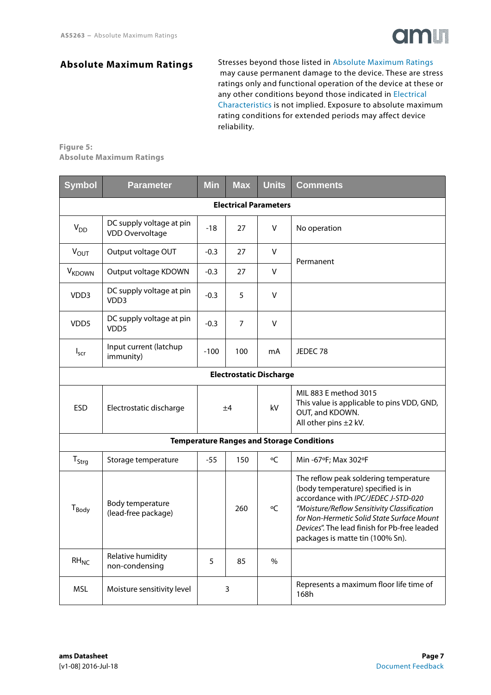

### <span id="page-6-1"></span>**Absolute Maximum Ratings**

Stresses beyond those listed in [Absolute Maximum Ratings](#page-6-0) may cause permanent damage to the device. These are stress ratings only and functional operation of the device at these or any other conditions beyond those indicated in [Electrical](#page-7-0)  [Characteristics](#page-7-0) is not implied. Exposure to absolute maximum rating conditions for extended periods may affect device reliability.

#### <span id="page-6-0"></span>**Figure 5: Absolute Maximum Ratings**

| <b>Symbol</b>            | Parameter                                          | <b>Min</b> | <b>Max</b> | <b>Units</b>                   | <b>Comments</b>                                                                                                                                                                                                                                                                                     |
|--------------------------|----------------------------------------------------|------------|------------|--------------------------------|-----------------------------------------------------------------------------------------------------------------------------------------------------------------------------------------------------------------------------------------------------------------------------------------------------|
|                          |                                                    |            |            | <b>Electrical Parameters</b>   |                                                                                                                                                                                                                                                                                                     |
| V <sub>DD</sub>          | DC supply voltage at pin<br><b>VDD Overvoltage</b> | $-18$      | 27         | v                              | No operation                                                                                                                                                                                                                                                                                        |
| $V_{OUT}$                | Output voltage OUT                                 | $-0.3$     | 27         | v                              | Permanent                                                                                                                                                                                                                                                                                           |
| <b>V<sub>KDOWN</sub></b> | Output voltage KDOWN                               | $-0.3$     | 27         | V                              |                                                                                                                                                                                                                                                                                                     |
| VDD3                     | DC supply voltage at pin<br>VDD3                   | $-0.3$     | 5          | v                              |                                                                                                                                                                                                                                                                                                     |
| VDD <sub>5</sub>         | DC supply voltage at pin<br>VDD <sub>5</sub>       | $-0.3$     | 7          | $\vee$                         |                                                                                                                                                                                                                                                                                                     |
| $I_{scr}$                | Input current (latchup<br>immunity)                | $-100$     | 100        | mA                             | JEDEC <sub>78</sub>                                                                                                                                                                                                                                                                                 |
|                          |                                                    |            |            | <b>Electrostatic Discharge</b> |                                                                                                                                                                                                                                                                                                     |
| <b>ESD</b>               | Electrostatic discharge                            | ±4         |            | kV                             | MIL 883 E method 3015<br>This value is applicable to pins VDD, GND,<br>OUT, and KDOWN.<br>All other pins ±2 kV.                                                                                                                                                                                     |
|                          |                                                    |            |            |                                | <b>Temperature Ranges and Storage Conditions</b>                                                                                                                                                                                                                                                    |
| $T_{\text{Strq}}$        | Storage temperature                                | $-55$      | 150        | °C                             | Min -67°F; Max 302°F                                                                                                                                                                                                                                                                                |
| $T_{Body}$               | Body temperature<br>(lead-free package)            |            | 260        | °C                             | The reflow peak soldering temperature<br>(body temperature) specified is in<br>accordance with IPC/JEDEC J-STD-020<br>"Moisture/Reflow Sensitivity Classification<br>for Non-Hermetic Solid State Surface Mount<br>Devices". The lead finish for Pb-free leaded<br>packages is matte tin (100% Sn). |
| $RH_{NC}$                | Relative humidity<br>non-condensing                | 5          | 85         | $\frac{0}{0}$                  |                                                                                                                                                                                                                                                                                                     |
| <b>MSL</b>               | Moisture sensitivity level                         |            | 3          |                                | Represents a maximum floor life time of<br>168h                                                                                                                                                                                                                                                     |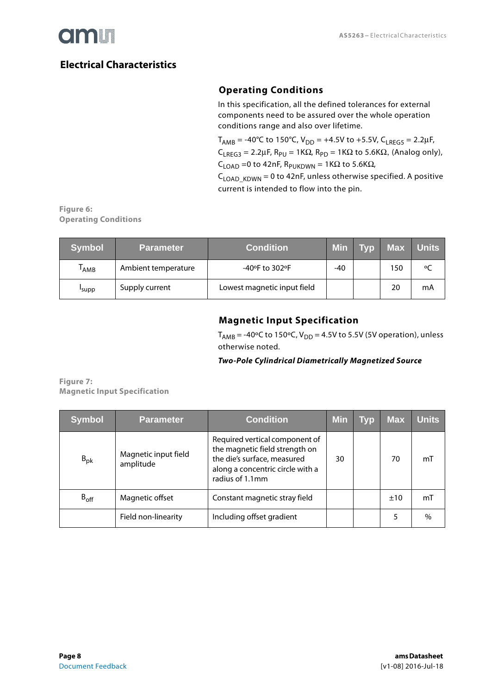

# <span id="page-7-2"></span><span id="page-7-0"></span>**Electrical Characteristics**

# **Operating Conditions**

In this specification, all the defined tolerances for external components need to be assured over the whole operation conditions range and also over lifetime.

 $T_{AMB}$  = -40°C to 150°C, V<sub>DD</sub> = +4.5V to +5.5V, C<sub>LREG5</sub> = 2.2µF,  $C_{1RFG3} = 2.2 \mu F$ ,  $R_{PU} = 1K\Omega$ ,  $R_{PD} = 1K\Omega$  to 5.6K $\Omega$ , (Analog only),  $C_{\text{LOAD}}$  =0 to 42nF, R<sub>PUKDWN</sub> = 1K $\Omega$  to 5.6K $\Omega$ ,

 $C_{\text{LOAD KDWN}} = 0$  to 42nF, unless otherwise specified. A positive current is intended to flow into the pin.

**Figure 6: Operating Conditions** 

| <b>Symbol</b>    | <b>Parameter</b>    | <b>Condition</b>            | <b>Min</b> | <b>Tvp</b> | Max | <b>Units</b> |
|------------------|---------------------|-----------------------------|------------|------------|-----|--------------|
| <sup>I</sup> AMB | Ambient temperature | -40°F to 302°F              | $-40$      |            | 150 | $\circ$      |
| 'supp            | Supply current      | Lowest magnetic input field |            |            | 20  | mA           |

# **Magnetic Input Specification**

 $T<sub>AMB</sub> = -40°C$  to 150°C,  $V<sub>DD</sub> = 4.5V$  to 5.5V (5V operation), unless otherwise noted.

#### *Two-Pole Cylindrical Diametrically Magnetized Source*

<span id="page-7-1"></span>**Figure 7: Magnetic Input Specification** 

| <b>Symbol</b> | <b>Parameter</b>                  | <b>Condition</b>                                                                                                                                       | <b>Min</b> | <b>Typ</b> | <b>Max</b> | <b>Units</b> |
|---------------|-----------------------------------|--------------------------------------------------------------------------------------------------------------------------------------------------------|------------|------------|------------|--------------|
| $B_{\rm pk}$  | Magnetic input field<br>amplitude | Required vertical component of<br>the magnetic field strength on<br>the die's surface, measured<br>along a concentric circle with a<br>radius of 1.1mm | 30         |            | 70         | mT           |
| $B_{off}$     | Magnetic offset                   | Constant magnetic stray field                                                                                                                          |            |            | ±10        | mT           |
|               | Field non-linearity               | Including offset gradient                                                                                                                              |            |            |            | $\%$         |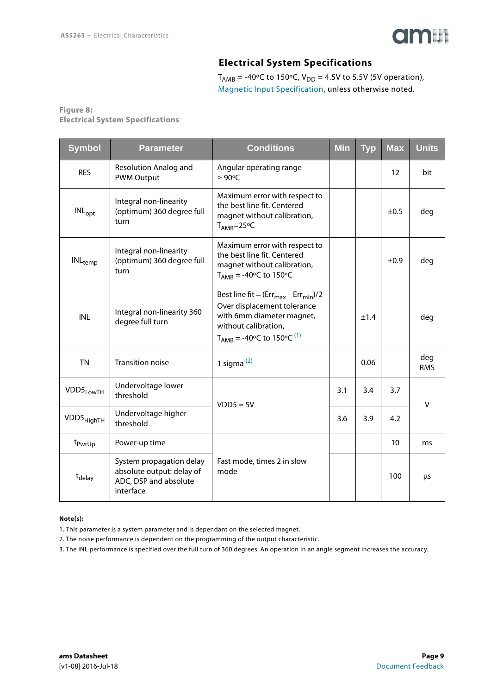

## **Electrical System Specifications**

 $T_{AMB}$  = -40°C to 150°C,  $V_{DD}$  = 4.5V to 5.5V (5V operation), [Magnetic Input Specification,](#page-7-1) unless otherwise noted.

#### <span id="page-8-2"></span>**Figure 8: Electrical System Specifications**

| <b>Symbol</b>                | <b>Parameter</b>                                                                            | <b>Conditions</b>                                                                                                                                                            | <b>Min</b> | <b>Typ</b> | <b>Max</b> | <b>Units</b>      |
|------------------------------|---------------------------------------------------------------------------------------------|------------------------------------------------------------------------------------------------------------------------------------------------------------------------------|------------|------------|------------|-------------------|
| <b>RES</b>                   | Resolution Analog and<br><b>PWM Output</b>                                                  | Angular operating range<br>$\geq 90^{\circ}$ C                                                                                                                               |            |            | 12         | bit               |
| $INL_{opt}$                  | Integral non-linearity<br>(optimum) 360 degree full<br>turn                                 | Maximum error with respect to<br>the best line fit. Centered<br>magnet without calibration,<br>$T_{AMB} = 25$ °C                                                             |            |            | $\pm 0.5$  | deg               |
| $\mathsf{INL}_\mathsf{temp}$ | Integral non-linearity<br>(optimum) 360 degree full<br>turn                                 | Maximum error with respect to<br>the best line fit. Centered<br>magnet without calibration,<br>$T_{AMB} = -40$ °C to 150°C                                                   |            |            | ±0.9       | deg               |
| <b>INL</b>                   | Integral non-linearity 360<br>degree full turn                                              | Best line fit = $(Err_{max} - Err_{min})/2$<br>Over displacement tolerance<br>with 6mm diameter magnet,<br>without calibration,<br>$T_{AMB}$ = -40°C to 150°C <sup>(1)</sup> |            | ±1.4       |            | deg               |
| <b>TN</b>                    | <b>Transition noise</b>                                                                     | 1 sigma $(2)$                                                                                                                                                                |            | 0.06       |            | deg<br><b>RMS</b> |
| VDD5 <sub>LowTH</sub>        | Undervoltage lower<br>threshold                                                             | $VDD5 = 5V$                                                                                                                                                                  | 3.1        | 3.4        | 3.7        | $\vee$            |
| VDD5 <sub>HighTH</sub>       | Undervoltage higher<br>threshold                                                            |                                                                                                                                                                              | 3.6        | 3.9        | 4.2        |                   |
| t <sub>PwrUp</sub>           | Power-up time                                                                               |                                                                                                                                                                              |            |            | 10         | ms                |
| t <sub>delay</sub>           | System propagation delay<br>absolute output: delay of<br>ADC, DSP and absolute<br>interface | Fast mode, times 2 in slow<br>mode                                                                                                                                           |            |            | 100        | μs                |

#### **Note(s):**

<span id="page-8-0"></span>1. This parameter is a system parameter and is dependant on the selected magnet.

<span id="page-8-1"></span>2. The noise performance is dependent on the programming of the output characteristic.

3. The INL performance is specified over the full turn of 360 degrees. An operation in an angle segment increases the accuracy.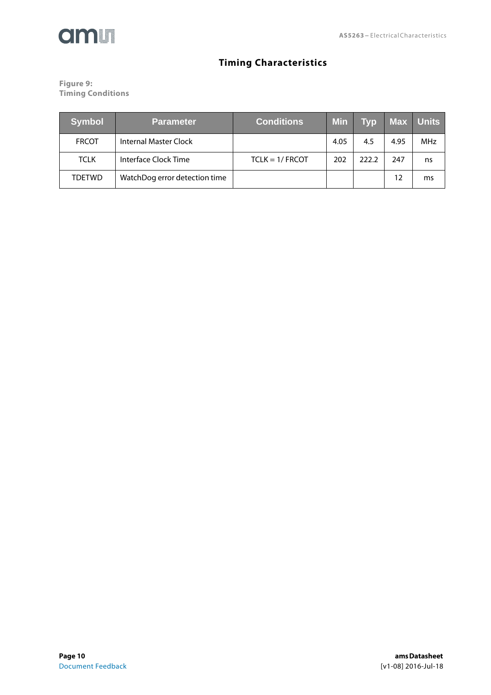

# **Timing Characteristics**

<span id="page-9-0"></span>**Figure 9: Timing Conditions** 

| <b>Symbol</b> | <b>Parameter</b>              | Conditions <sup> </sup> | <b>Min</b> | <b>Typ</b> | Max  | <b>Units</b> |
|---------------|-------------------------------|-------------------------|------------|------------|------|--------------|
| <b>FRCOT</b>  | Internal Master Clock         |                         | 4.05       | 4.5        | 4.95 | MHz          |
| <b>TCLK</b>   | Interface Clock Time          | $TCLK = 1/ FRCOT$       | 202        | 222.2      | 247  | ns           |
| <b>TDETWD</b> | WatchDog error detection time |                         |            |            | 12   | ms           |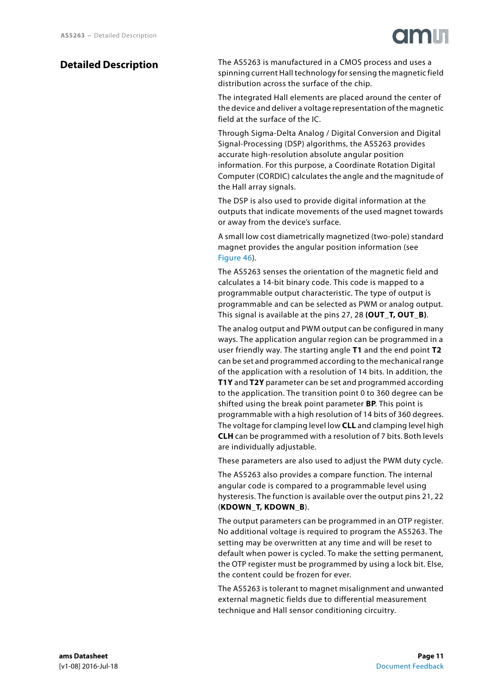# <span id="page-10-0"></span>**Detailed Description**

The AS5263 is manufactured in a CMOS process and uses a spinning current Hall technology for sensing the magnetic field distribution across the surface of the chip.

The integrated Hall elements are placed around the center of the device and deliver a voltage representation of the magnetic field at the surface of the IC.

Through Sigma-Delta Analog / Digital Conversion and Digital Signal-Processing (DSP) algorithms, the AS5263 provides accurate high-resolution absolute angular position information. For this purpose, a Coordinate Rotation Digital Computer (CORDIC) calculates the angle and the magnitude of the Hall array signals.

The DSP is also used to provide digital information at the outputs that indicate movements of the used magnet towards or away from the device's surface.

A small low cost diametrically magnetized (two-pole) standard magnet provides the angular position information (see [Figure 46\)](#page-47-0).

The AS5263 senses the orientation of the magnetic field and calculates a 14-bit binary code. This code is mapped to a programmable output characteristic. The type of output is programmable and can be selected as PWM or analog output. This signal is available at the pins 27, 28 **(OUT\_T, OUT\_B)**.

The analog output and PWM output can be configured in many ways. The application angular region can be programmed in a user friendly way. The starting angle **T1** and the end point **T2** can be set and programmed according to the mechanical range of the application with a resolution of 14 bits. In addition, the **T1Y** and **T2Y** parameter can be set and programmed according to the application. The transition point 0 to 360 degree can be shifted using the break point parameter **BP**. This point is programmable with a high resolution of 14 bits of 360 degrees. The voltage for clamping level low **CLL** and clamping level high **CLH** can be programmed with a resolution of 7 bits. Both levels are individually adjustable.

These parameters are also used to adjust the PWM duty cycle.

The AS5263 also provides a compare function. The internal angular code is compared to a programmable level using hysteresis. The function is available over the output pins 21, 22 (**KDOWN\_T, KDOWN\_B**).

The output parameters can be programmed in an OTP register. No additional voltage is required to program the AS5263. The setting may be overwritten at any time and will be reset to default when power is cycled. To make the setting permanent, the OTP register must be programmed by using a lock bit. Else, the content could be frozen for ever.

The AS5263 is tolerant to magnet misalignment and unwanted external magnetic fields due to differential measurement technique and Hall sensor conditioning circuitry.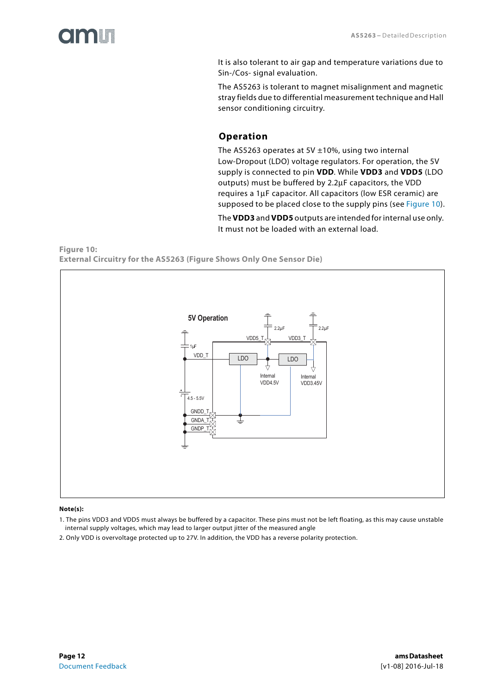<span id="page-11-1"></span>

It is also tolerant to air gap and temperature variations due to Sin-/Cos- signal evaluation.

The AS5263 is tolerant to magnet misalignment and magnetic stray fields due to differential measurement technique and Hall sensor conditioning circuitry.

### **Operation**

The AS5263 operates at 5V  $\pm$ 10%, using two internal Low-Dropout (LDO) voltage regulators. For operation, the 5V supply is connected to pin **VDD**. While **VDD3** and **VDD5** (LDO outputs) must be buffered by 2.2μF capacitors, the VDD requires a 1μF capacitor. All capacitors (low ESR ceramic) are supposed to be placed close to the supply pins (see [Figure 10](#page-11-0)).

The **VDD3** and **VDD5** outputs are intended for internal use only. It must not be loaded with an external load.

<span id="page-11-0"></span>**Figure 10: External Circuitry for the AS5263 (Figure Shows Only One Sensor Die)** 



#### **Note(s):**

1. The pins VDD3 and VDD5 must always be buffered by a capacitor. These pins must not be left floating, as this may cause unstable internal supply voltages, which may lead to larger output jitter of the measured angle

2. Only VDD is overvoltage protected up to 27V. In addition, the VDD has a reverse polarity protection.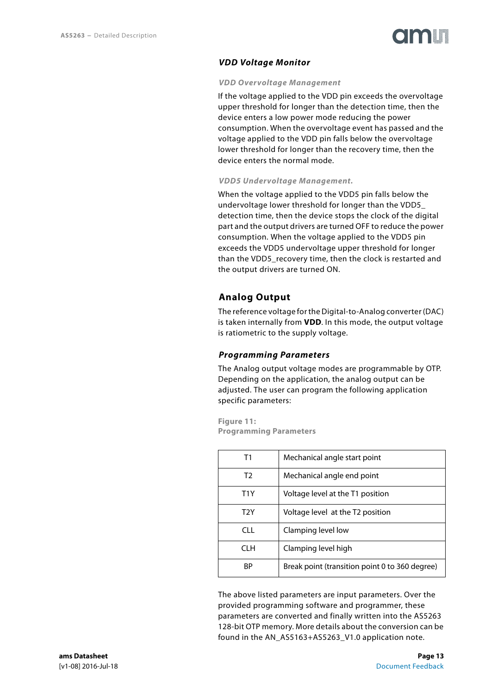#### <span id="page-12-0"></span>*VDD Voltage Monitor*

#### *VDD Overvoltage Management*

<span id="page-12-1"></span>If the voltage applied to the VDD pin exceeds the overvoltage upper threshold for longer than the detection time, then the device enters a low power mode reducing the power consumption. When the overvoltage event has passed and the voltage applied to the VDD pin falls below the overvoltage lower threshold for longer than the recovery time, then the device enters the normal mode.

#### *VDD5 Undervoltage Management.*

<span id="page-12-2"></span>When the voltage applied to the VDD5 pin falls below the undervoltage lower threshold for longer than the VDD5\_ detection time, then the device stops the clock of the digital part and the output drivers are turned OFF to reduce the power consumption. When the voltage applied to the VDD5 pin exceeds the VDD5 undervoltage upper threshold for longer than the VDD5 recovery time, then the clock is restarted and the output drivers are turned ON.

#### <span id="page-12-3"></span>**Analog Output**

The reference voltage for the Digital-to-Analog converter (DAC) is taken internally from **VDD**. In this mode, the output voltage is ratiometric to the supply voltage.

#### <span id="page-12-4"></span>*Programming Parameters*

The Analog output voltage modes are programmable by OTP. Depending on the application, the analog output can be adjusted. The user can program the following application specific parameters:

**Figure 11: Programming Parameters**

| Τ1         | Mechanical angle start point                   |
|------------|------------------------------------------------|
| T2         | Mechanical angle end point                     |
| T1Y        | Voltage level at the T1 position               |
| T2Y        | Voltage level at the T2 position               |
| <b>CLL</b> | Clamping level low                             |
| CLH        | Clamping level high                            |
| ΒP         | Break point (transition point 0 to 360 degree) |

The above listed parameters are input parameters. Over the provided programming software and programmer, these parameters are converted and finally written into the AS5263 128-bit OTP memory. More details about the conversion can be found in the AN\_AS5163+AS5263\_V1.0 application note.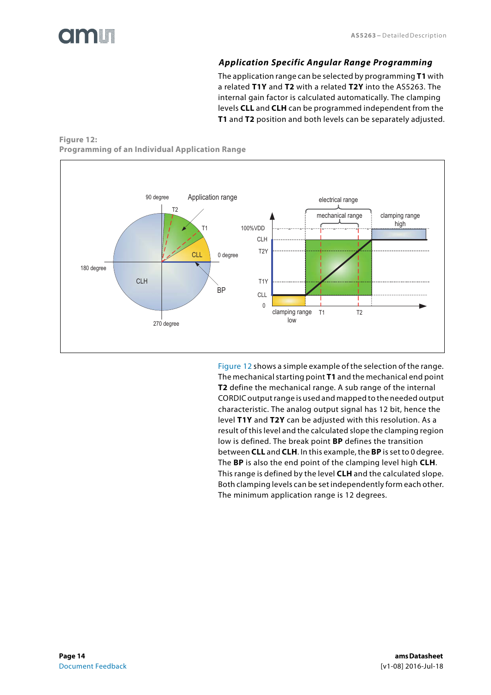### *Application Specific Angular Range Programming*

The application range can be selected by programming **T1** with a related **T1Y** and **T2** with a related **T2Y** into the AS5263. The internal gain factor is calculated automatically. The clamping levels **CLL** and **CLH** can be programmed independent from the **T1** and **T2** position and both levels can be separately adjusted.

#### <span id="page-13-1"></span><span id="page-13-0"></span>**Figure 12: Programming of an Individual Application Range**



[Figure 12](#page-13-0) shows a simple example of the selection of the range. The mechanical starting point **T1** and the mechanical end point **T2** define the mechanical range. A sub range of the internal CORDIC output range is used and mapped to the needed output characteristic. The analog output signal has 12 bit, hence the level **T1Y** and **T2Y** can be adjusted with this resolution. As a result of this level and the calculated slope the clamping region low is defined. The break point **BP** defines the transition between **CLL** and **CLH**. In this example, the **BP** is set to 0 degree. The **BP** is also the end point of the clamping level high **CLH**. This range is defined by the level **CLH** and the calculated slope. Both clamping levels can be set independently form each other. The minimum application range is 12 degrees.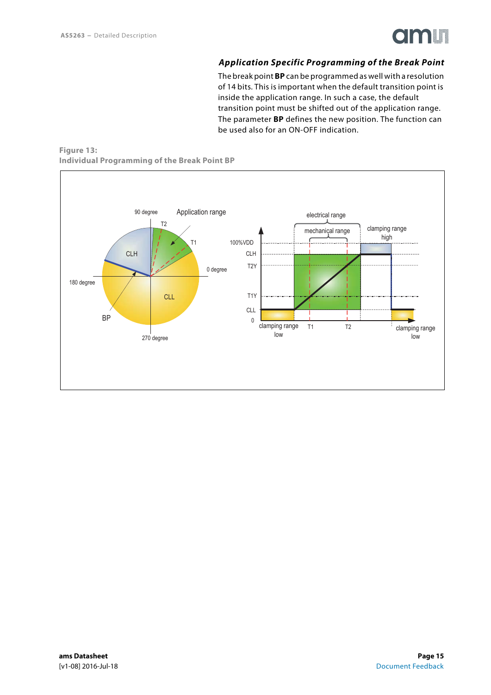

#### *Application Specific Programming of the Break Point*

The break point **BP** can be programmed as well with a resolution of 14 bits. This is important when the default transition point is inside the application range. In such a case, the default transition point must be shifted out of the application range. The parameter **BP** defines the new position. The function can be used also for an ON-OFF indication.

#### <span id="page-14-0"></span>**Figure 13: Individual Programming of the Break Point BP**

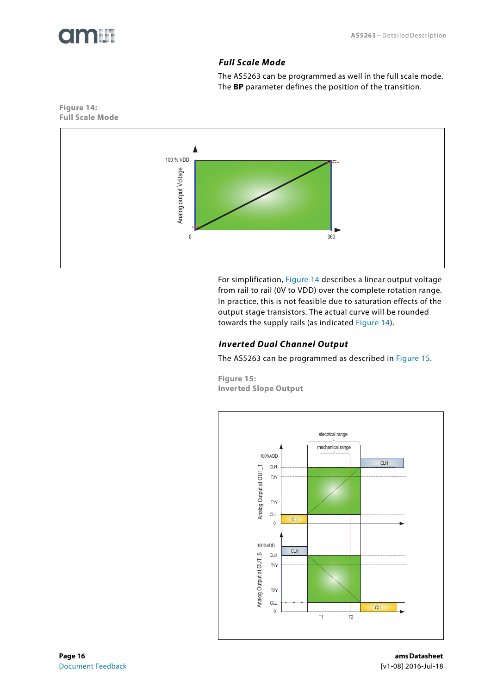<span id="page-15-2"></span>

### *Full Scale Mode*

The AS5263 can be programmed as well in the full scale mode. The **BP** parameter defines the position of the transition.



For simplification, [Figure 14](#page-15-0) describes a linear output voltage from rail to rail (0V to VDD) over the complete rotation range. In practice, this is not feasible due to saturation effects of the output stage transistors. The actual curve will be rounded towards the supply rails (as indicated [Figure 14\)](#page-15-0).

#### <span id="page-15-3"></span>*Inverted Dual Channel Output*

The AS5263 can be programmed as described in [Figure 15.](#page-15-1)

**Figure 15: Inverted Slope Output** 

<span id="page-15-1"></span>

<span id="page-15-0"></span>**Figure 14: Full Scale Mode**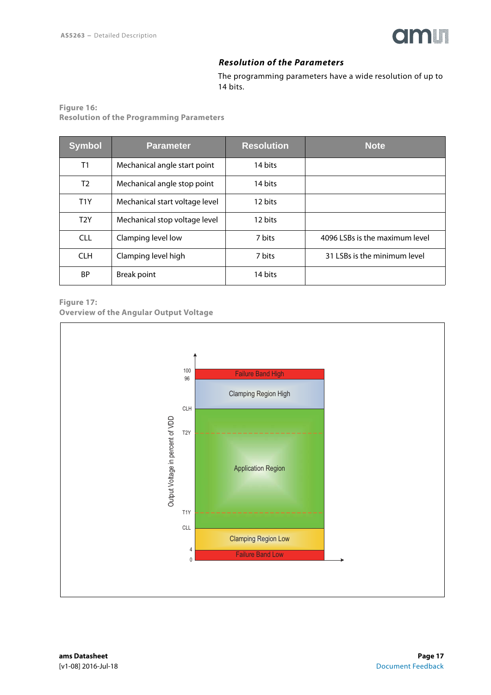

#### *Resolution of the Parameters*

The programming parameters have a wide resolution of up to 14 bits.

<span id="page-16-1"></span>**Figure 16: Resolution of the Programming Parameters** 

| <b>Symbol</b>    | <b>Parameter</b>               | <b>Resolution</b> | <b>Note</b>                    |
|------------------|--------------------------------|-------------------|--------------------------------|
| T1               | Mechanical angle start point   | 14 bits           |                                |
| T <sub>2</sub>   | Mechanical angle stop point    | 14 bits           |                                |
| T <sub>1</sub> Y | Mechanical start voltage level | 12 bits           |                                |
| T <sub>2</sub> Y | Mechanical stop voltage level  | 12 bits           |                                |
| <b>CLL</b>       | Clamping level low             | 7 bits            | 4096 LSBs is the maximum level |
| <b>CLH</b>       | Clamping level high            | 7 bits            | 31 LSBs is the minimum level   |
| ΒP               | <b>Break point</b>             | 14 bits           |                                |

#### <span id="page-16-0"></span>**Figure 17: Overview of the Angular Output Voltage**

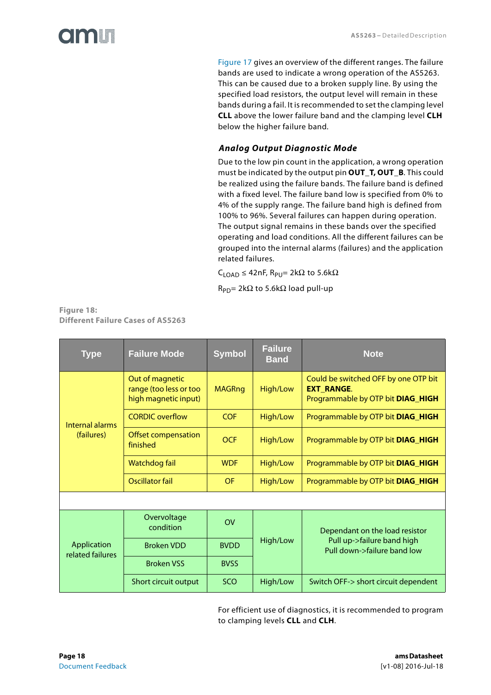[Figure 17](#page-16-0) gives an overview of the different ranges. The failure bands are used to indicate a wrong operation of the AS5263. This can be caused due to a broken supply line. By using the specified load resistors, the output level will remain in these bands during a fail. It is recommended to set the clamping level **CLL** above the lower failure band and the clamping level **CLH** below the higher failure band.

### <span id="page-17-0"></span>*Analog Output Diagnostic Mode*

Due to the low pin count in the application, a wrong operation must be indicated by the output pin **OUT\_T, OUT\_B**. This could be realized using the failure bands. The failure band is defined with a fixed level. The failure band low is specified from 0% to 4% of the supply range. The failure band high is defined from 100% to 96%. Several failures can happen during operation. The output signal remains in these bands over the specified operating and load conditions. All the different failures can be grouped into the internal alarms (failures) and the application related failures.

 $C_{\text{LOAD}} \leq 42$ nF, R<sub>PU</sub>= 2kΩ to 5.6kΩ

 $R_{PD}$ = 2kΩ to 5.6kΩ load pull-up

| <b>Figure 18:</b>                 |  |
|-----------------------------------|--|
| Different Failure Cases of AS5263 |  |

| <b>Type</b>                     | <b>Failure Mode</b>                                               | <b>Symbol</b>  | <b>Failure</b><br><b>Band</b> | <b>Note</b>                                                                                    |
|---------------------------------|-------------------------------------------------------------------|----------------|-------------------------------|------------------------------------------------------------------------------------------------|
|                                 | Out of magnetic<br>range (too less or too<br>high magnetic input) | <b>MAGRng</b>  | High/Low                      | Could be switched OFF by one OTP bit<br><b>EXT RANGE.</b><br>Programmable by OTP bit DIAG_HIGH |
| Internal alarms                 | <b>CORDIC</b> overflow                                            | COF            | High/Low                      | Programmable by OTP bit DIAG_HIGH                                                              |
| (failures)                      | <b>Offset compensation</b><br>finished                            | <b>OCF</b>     | High/Low                      | Programmable by OTP bit DIAG_HIGH                                                              |
|                                 | Watchdog fail                                                     | <b>WDF</b>     | High/Low                      | Programmable by OTP bit DIAG_HIGH                                                              |
|                                 | Oscillator fail                                                   | <b>OF</b>      | High/Low                      | Programmable by OTP bit DIAG_HIGH                                                              |
|                                 |                                                                   |                |                               |                                                                                                |
|                                 | Overvoltage<br>condition                                          | O <sub>V</sub> |                               | Dependant on the load resistor                                                                 |
| Application<br>related failures | <b>Broken VDD</b>                                                 | <b>BVDD</b>    | High/Low                      | Pull up->failure band high<br>Pull down->failure band low                                      |
|                                 | <b>Broken VSS</b>                                                 | <b>BVSS</b>    |                               |                                                                                                |
|                                 | Short circuit output                                              | <b>SCO</b>     | High/Low                      | Switch OFF-> short circuit dependent                                                           |

For efficient use of diagnostics, it is recommended to program to clamping levels **CLL** and **CLH**.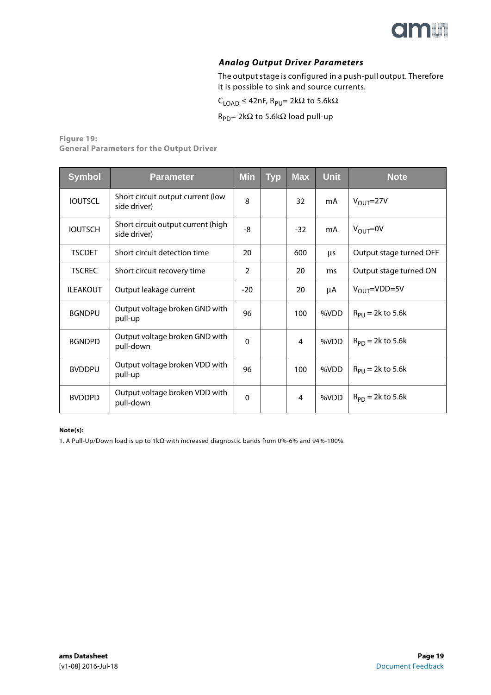

#### *Analog Output Driver Parameters*

The output stage is configured in a push-pull output. Therefore it is possible to sink and source currents.

 $\mathsf{C}_{\mathsf{LOAD}}$  ≤ 42nF,  $\mathsf{R}_{\mathsf{PU}}$ = 2k $\Omega$  to 5.6k $\Omega$ 

 $R_{PD}$ = 2kΩ to 5.6kΩ load pull-up

#### <span id="page-18-0"></span>**Figure 19: General Parameters for the Output Driver**

| <b>Symbol</b>   | <b>Parameter</b>                                   | <b>Min</b>     | <b>Typ</b> | <b>Max</b> | <b>Unit</b> | <b>Note</b>             |
|-----------------|----------------------------------------------------|----------------|------------|------------|-------------|-------------------------|
| <b>IOUTSCL</b>  | Short circuit output current (low<br>side driver)  | 8              |            | 32         | mA          | $V_{OUT}$ =27V          |
| <b>IOUTSCH</b>  | Short circuit output current (high<br>side driver) | -8             |            | $-32$      | mA          | $V_{\text{OUT}} = 0V$   |
| <b>TSCDET</b>   | Short circuit detection time                       | 20             |            | 600        | μs          | Output stage turned OFF |
| <b>TSCREC</b>   | Short circuit recovery time                        | $\overline{2}$ |            | 20         | ms          | Output stage turned ON  |
| <b>ILEAKOUT</b> | Output leakage current                             | $-20$          |            | 20         | μA          | $V_{OUT} = VDD = 5V$    |
| <b>BGNDPU</b>   | Output voltage broken GND with<br>pull-up          | 96             |            | 100        | %VDD        | $R_{PI} = 2k$ to 5.6k   |
| <b>BGNDPD</b>   | Output voltage broken GND with<br>pull-down        | $\Omega$       |            | 4          | %VDD        | $R_{PD}$ = 2k to 5.6k   |
| <b>BVDDPU</b>   | Output voltage broken VDD with<br>pull-up          | 96             |            | 100        | %VDD        | $R_{PU}$ = 2k to 5.6k   |
| <b>BVDDPD</b>   | Output voltage broken VDD with<br>pull-down        | $\Omega$       |            | 4          | %VDD        | $R_{PD}$ = 2k to 5.6k   |

#### **Note(s):**

1. A Pull-Up/Down load is up to 1kΩ with increased diagnostic bands from 0%-6% and 94%-100%.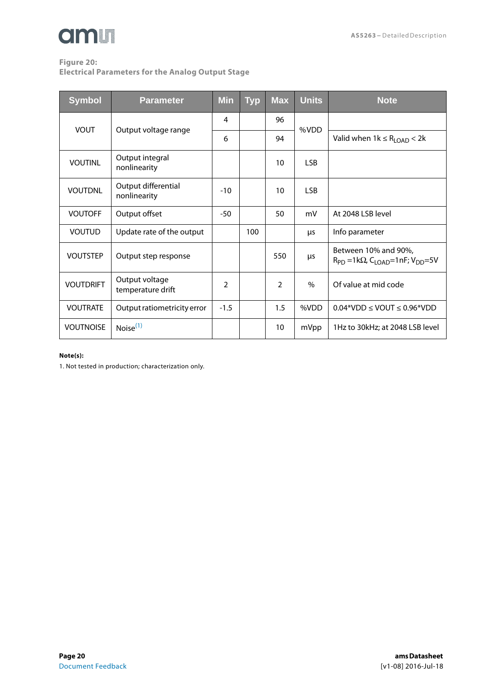# **am**

# **Figure 20:**

**Electrical Parameters for the Analog Output Stage** 

| <b>Symbol</b>    | <b>Parameter</b>                    | <b>Min</b>     | <b>Typ</b> | <b>Max</b> | <b>Units</b>  | <b>Note</b>                                                                                 |
|------------------|-------------------------------------|----------------|------------|------------|---------------|---------------------------------------------------------------------------------------------|
| <b>VOUT</b>      | Output voltage range                | 4              |            | 96         | %VDD          |                                                                                             |
|                  |                                     | 6              |            | 94         |               | Valid when $1k \le R_{\text{LOAD}} < 2k$                                                    |
| <b>VOUTINL</b>   | Output integral<br>nonlinearity     |                |            | 10         | <b>LSB</b>    |                                                                                             |
| <b>VOUTDNL</b>   | Output differential<br>nonlinearity | $-10$          |            | 10         | <b>LSB</b>    |                                                                                             |
| <b>VOUTOFF</b>   | Output offset                       | $-50$          |            | 50         | mV            | At 2048 LSB level                                                                           |
| <b>VOUTUD</b>    | Update rate of the output           |                | 100        |            | μs            | Info parameter                                                                              |
| <b>VOUTSTEP</b>  | Output step response                |                |            | 550        | μs            | Between 10% and 90%,<br>$R_{PD}$ =1k $\Omega$ , C <sub>LOAD</sub> =1nF; V <sub>DD</sub> =5V |
| <b>VOUTDRIFT</b> | Output voltage<br>temperature drift | $\overline{2}$ |            | 2          | $\frac{0}{0}$ | Of value at mid code                                                                        |
| <b>VOUTRATE</b>  | Output ratiometricity error         | $-1.5$         |            | 1.5        | %VDD          | $0.04*VDD \leq VOUT \leq 0.96*VDD$                                                          |
| <b>VOUTNOISE</b> | Noise $(1)$                         |                |            | 10         | mVpp          | 1Hz to 30kHz; at 2048 LSB level                                                             |

#### **Note(s):**

<span id="page-19-0"></span>1. Not tested in production; characterization only.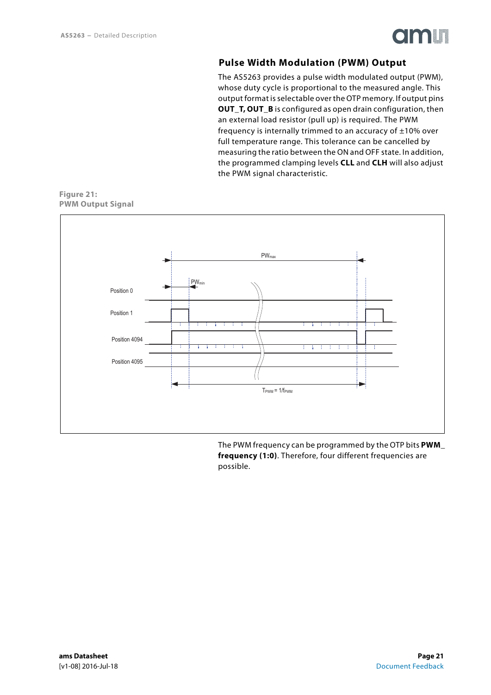

### **Pulse Width Modulation (PWM) Output**

The AS5263 provides a pulse width modulated output (PWM), whose duty cycle is proportional to the measured angle. This output format is selectable over the OTP memory. If output pins **OUT\_T, OUT\_B** is configured as open drain configuration, then an external load resistor (pull up) is required. The PWM frequency is internally trimmed to an accuracy of  $\pm 10\%$  over full temperature range. This tolerance can be cancelled by measuring the ratio between the ON and OFF state. In addition, the programmed clamping levels **CLL** and **CLH** will also adjust the PWM signal characteristic.

<span id="page-20-0"></span>**Figure 21: PWM Output Signal** 



The PWM frequency can be programmed by the OTP bits **PWM\_ frequency (1:0)**. Therefore, four different frequencies are possible.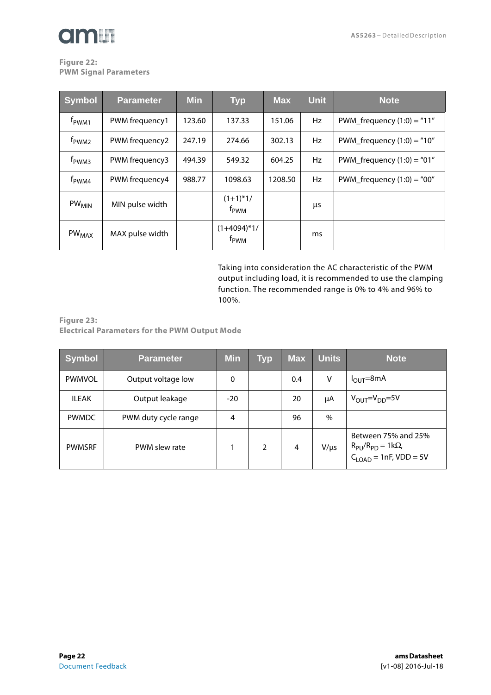#### <span id="page-21-1"></span>**Figure 22: PWM Signal Parameters**

| <b>Symbol</b>       | <b>Parameter</b> | <b>Min</b> | <b>Typ</b>                        | <b>Max</b> | <b>Unit</b> | <b>Note</b>                  |
|---------------------|------------------|------------|-----------------------------------|------------|-------------|------------------------------|
| f <sub>PWM1</sub>   | PWM frequency1   | 123.60     | 137.33                            | 151.06     | Hz          | PWM_frequency $(1:0) = "11"$ |
| f <sub>PWM2</sub>   | PWM frequency2   | 247.19     | 274.66                            | 302.13     | Hz          | PWM_frequency $(1:0) = "10"$ |
| f <sub>pwM3</sub>   | PWM frequency3   | 494.39     | 549.32                            | 604.25     | Hz          | PWM_frequency $(1:0) = "01"$ |
| $f_{\mathrm{PWM4}}$ | PWM frequency4   | 988.77     | 1098.63                           | 1208.50    | Hz          | PWM_frequency $(1:0) = "00"$ |
| $PW_{MIN}$          | MIN pulse width  |            | $(1+1)*1/$<br>f <sub>PWM</sub>    |            | μs          |                              |
| PW <sub>MAX</sub>   | MAX pulse width  |            | $(1+4094)*1/$<br>f <sub>pwm</sub> |            | ms          |                              |

Taking into consideration the AC characteristic of the PWM output including load, it is recommended to use the clamping function. The recommended range is 0% to 4% and 96% to 100%.

<span id="page-21-0"></span>**Figure 23: Electrical Parameters for the PWM Output Mode** 

| <b>Symbol</b> | <b>Parameter</b>     | <b>Min</b>   | Typ            | <b>Max</b> | <b>Units</b> | <b>Note</b>                                                                              |
|---------------|----------------------|--------------|----------------|------------|--------------|------------------------------------------------------------------------------------------|
| <b>PWMVOL</b> | Output voltage low   | $\mathbf{0}$ |                | 0.4        | V            | $I_{\text{OUT}} = 8 \text{mA}$                                                           |
| <b>ILEAK</b>  | Output leakage       | $-20$        |                | 20         | μA           | $V_{\text{OUT}}=V_{\text{DD}}=5V$                                                        |
| <b>PWMDC</b>  | PWM duty cycle range | 4            |                | 96         | $\%$         |                                                                                          |
| <b>PWMSRF</b> | PWM slew rate        |              | $\overline{2}$ | 4          | $V/\mu s$    | Between 75% and 25%<br>$R_{PU}/R_{PD} = 1k\Omega$ ,<br>C <sub>LOAD</sub> = 1nF, VDD = 5V |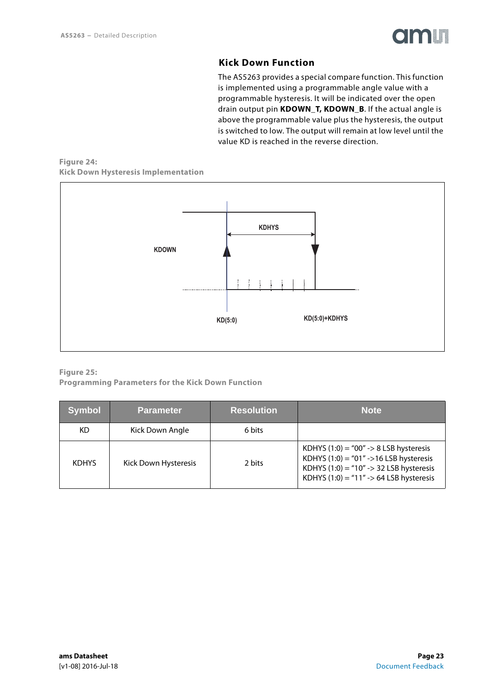

### **Kick Down Function**

The AS5263 provides a special compare function. This function is implemented using a programmable angle value with a programmable hysteresis. It will be indicated over the open drain output pin **KDOWN\_T, KDOWN\_B**. If the actual angle is above the programmable value plus the hysteresis, the output is switched to low. The output will remain at low level until the value KD is reached in the reverse direction.

#### <span id="page-22-0"></span>**Figure 24: Kick Down Hysteresis Implementation**



#### **Figure 25: Programming Parameters for the Kick Down Function**

| <b>Symbol</b> | <b>Parameter</b>     | <b>Resolution</b> | <b>Note</b>                                                                                                                                                                           |
|---------------|----------------------|-------------------|---------------------------------------------------------------------------------------------------------------------------------------------------------------------------------------|
| KD            | Kick Down Angle      | 6 bits            |                                                                                                                                                                                       |
| <b>KDHYS</b>  | Kick Down Hysteresis | 2 bits            | KDHYS $(1:0) = "00" \rightarrow 8$ LSB hysteresis<br>KDHYS $(1:0) = 01'' - 16$ LSB hysteresis<br>KDHYS $(1:0) = 10'' > 32$ LSB hysteresis<br>KDHYS $(1:0) = 11'' > 64$ LSB hysteresis |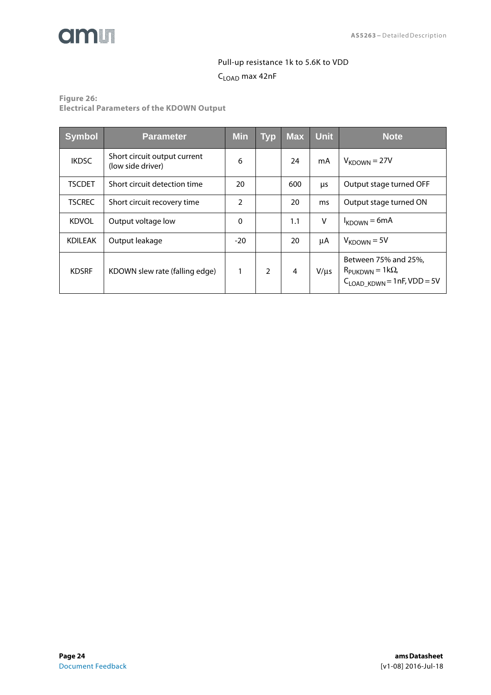

# Pull-up resistance 1k to 5.6K to VDD CLOAD max 42nF

**Figure 26:**

**Electrical Parameters of the KDOWN Output** 

| <b>Symbol</b>  | <b>Parameter</b>                                  | Min            | <b>Typ</b> | <b>Max</b>     | Unit      | <b>Note</b>                                                                                       |
|----------------|---------------------------------------------------|----------------|------------|----------------|-----------|---------------------------------------------------------------------------------------------------|
| <b>IKDSC</b>   | Short circuit output current<br>(low side driver) | 6              |            | 24             | mA        | $V_{KDOWN}$ = 27V                                                                                 |
| <b>TSCDET</b>  | Short circuit detection time                      | 20             |            | 600            | μs        | Output stage turned OFF                                                                           |
| <b>TSCREC</b>  | Short circuit recovery time                       | $\overline{2}$ |            | 20             | ms        | Output stage turned ON                                                                            |
| <b>KDVOL</b>   | Output voltage low                                | 0              |            | 1.1            | v         | $I_{KDOWN} = 6mA$                                                                                 |
| <b>KDILEAK</b> | Output leakage                                    | $-20$          |            | 20             | μA        | $V_{KDOWN}$ = 5V                                                                                  |
| <b>KDSRF</b>   | KDOWN slew rate (falling edge)                    |                | 2          | $\overline{4}$ | $V/\mu s$ | Between 75% and 25%,<br>$R_{\text{PUKDWN}} = 1 \text{k}\Omega$<br>$C_{LOAD_KDWN} = 1nF, VDD = 5V$ |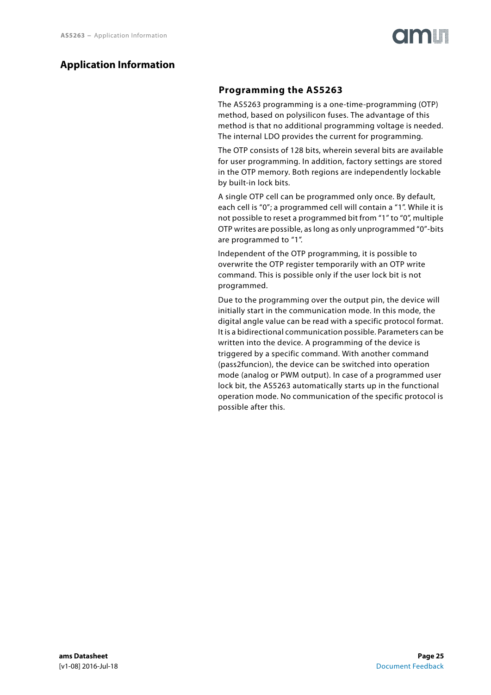# <span id="page-24-1"></span><span id="page-24-0"></span>**Application Information**

## **Programming the AS5263**

The AS5263 programming is a one-time-programming (OTP) method, based on polysilicon fuses. The advantage of this method is that no additional programming voltage is needed. The internal LDO provides the current for programming.

The OTP consists of 128 bits, wherein several bits are available for user programming. In addition, factory settings are stored in the OTP memory. Both regions are independently lockable by built-in lock bits.

A single OTP cell can be programmed only once. By default, each cell is "0"; a programmed cell will contain a "1". While it is not possible to reset a programmed bit from "1" to "0", multiple OTP writes are possible, as long as only unprogrammed "0"-bits are programmed to "1".

Independent of the OTP programming, it is possible to overwrite the OTP register temporarily with an OTP write command. This is possible only if the user lock bit is not programmed.

Due to the programming over the output pin, the device will initially start in the communication mode. In this mode, the digital angle value can be read with a specific protocol format. It is a bidirectional communication possible. Parameters can be written into the device. A programming of the device is triggered by a specific command. With another command (pass2funcion), the device can be switched into operation mode (analog or PWM output). In case of a programmed user lock bit, the AS5263 automatically starts up in the functional operation mode. No communication of the specific protocol is possible after this.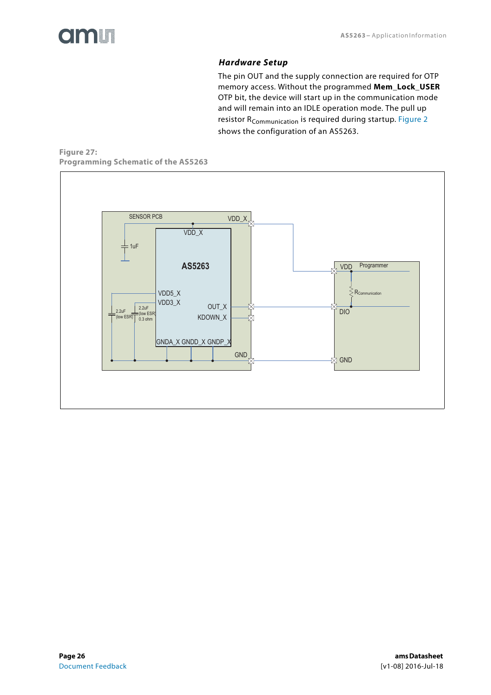# *Hardware Setup*

The pin OUT and the supply connection are required for OTP memory access. Without the programmed **Mem\_Lock\_USER** OTP bit, the device will start up in the communication mode and will remain into an IDLE operation mode. The pull up resistor R<sub>Communication</sub> is required during startup. [Figure 2](#page-2-0) shows the configuration of an AS5263.

<span id="page-25-0"></span>**Figure 27: Programming Schematic of the AS5263** 

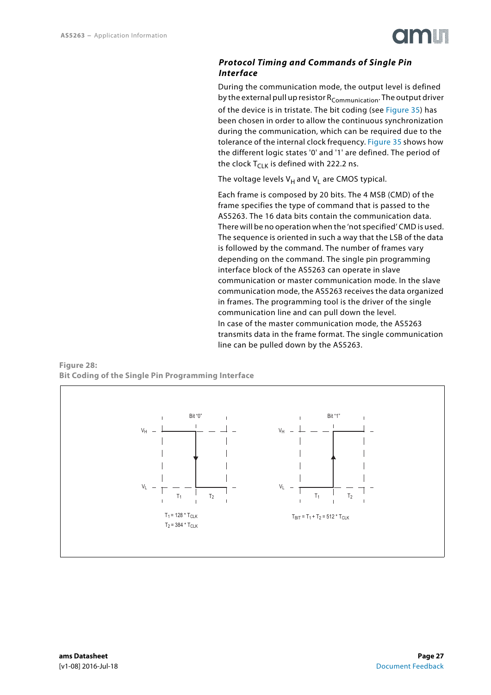

#### <span id="page-26-0"></span>*Protocol Timing and Commands of Single Pin Interface*

During the communication mode, the output level is defined by the external pull up resistor  $R_{\text{Communication}}$ . The output driver of the device is in tristate. The bit coding (see [Figure 35\)](#page-30-0) has been chosen in order to allow the continuous synchronization during the communication, which can be required due to the tolerance of the internal clock frequency. [Figure 35](#page-30-0) shows how the different logic states '0' and '1' are defined. The period of the clock  $T_{C-K}$  is defined with 222.2 ns.

The voltage levels  $V_H$  and  $V_I$  are CMOS typical.

Each frame is composed by 20 bits. The 4 MSB (CMD) of the frame specifies the type of command that is passed to the AS5263. The 16 data bits contain the communication data. There will be no operation when the 'not specified' CMD is used. The sequence is oriented in such a way that the LSB of the data is followed by the command. The number of frames vary depending on the command. The single pin programming interface block of the AS5263 can operate in slave communication or master communication mode. In the slave communication mode, the AS5263 receives the data organized in frames. The programming tool is the driver of the single communication line and can pull down the level. In case of the master communication mode, the AS5263 transmits data in the frame format. The single communication line can be pulled down by the AS5263.

#### **Figure 28: Bit Coding of the Single Pin Programming Interface**

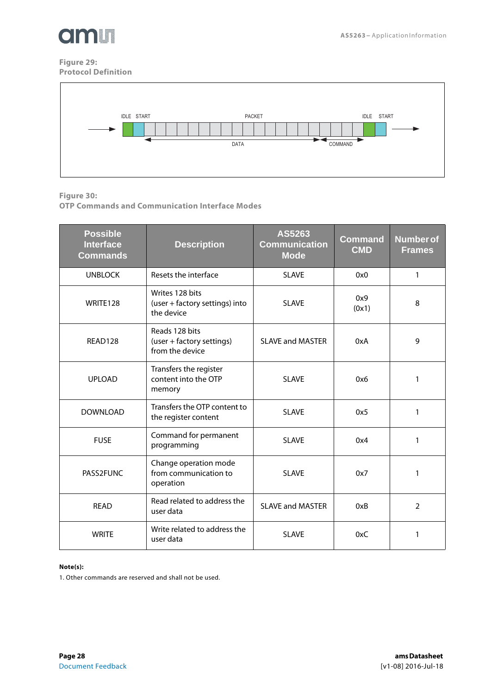

#### **Figure 29: Protocol Definition**



**Figure 30:**

**OTP Commands and Communication Interface Modes** 

| <b>Possible</b><br><b>Interface</b><br><b>Commands</b> | <b>Description</b>                                              | AS5263<br><b>Communication</b><br><b>Mode</b> | <b>Command</b><br><b>CMD</b> | <b>Number of</b><br><b>Frames</b> |
|--------------------------------------------------------|-----------------------------------------------------------------|-----------------------------------------------|------------------------------|-----------------------------------|
| <b>UNBLOCK</b>                                         | Resets the interface                                            | <b>SLAVE</b>                                  | 0x0                          | 1                                 |
| WRITE128                                               | Writes 128 bits<br>(user + factory settings) into<br>the device | <b>SLAVE</b>                                  | 0x9<br>(0x1)                 | 8                                 |
| READ128                                                | Reads 128 bits<br>(user + factory settings)<br>from the device  | <b>SLAVE and MASTER</b>                       | 0xA                          | 9                                 |
| <b>UPLOAD</b>                                          | Transfers the register<br>content into the OTP<br>memory        | <b>SLAVE</b>                                  | 0x6                          | 1                                 |
| <b>DOWNLOAD</b>                                        | Transfers the OTP content to<br>the register content            | <b>SLAVE</b>                                  | 0x5                          | 1                                 |
| <b>FUSE</b>                                            | Command for permanent<br>programming                            | <b>SLAVE</b>                                  | 0x4                          | 1                                 |
| PASS2FUNC                                              | Change operation mode<br>from communication to<br>operation     | <b>SLAVE</b>                                  | 0x7                          | 1                                 |
| <b>READ</b>                                            | Read related to address the<br>user data                        | <b>SLAVE and MASTER</b>                       | 0xB                          | $\overline{2}$                    |
| <b>WRITE</b>                                           | Write related to address the<br>user data                       | <b>SLAVE</b>                                  | 0xC                          | 1                                 |

#### **Note(s):**

1. Other commands are reserved and shall not be used.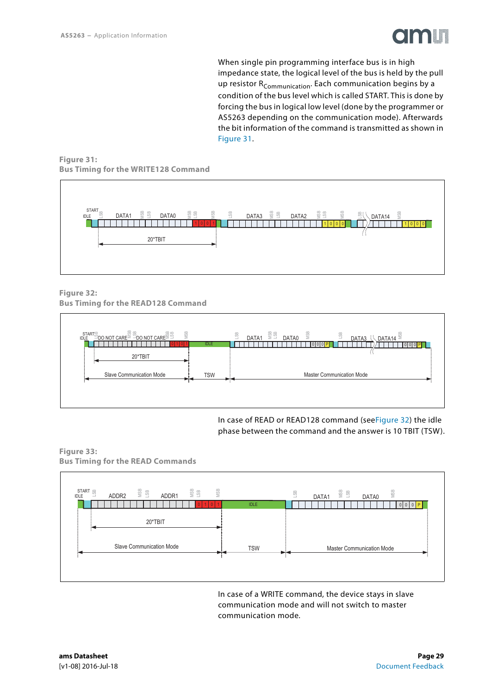

When single pin programming interface bus is in high impedance state, the logical level of the bus is held by the pull up resistor R<sub>Communication</sub>. Each communication begins by a condition of the bus level which is called START. This is done by forcing the bus in logical low level (done by the programmer or AS5263 depending on the communication mode). Afterwards the bit information of the command is transmitted as shown in [Figure 31.](#page-28-0)

<span id="page-28-0"></span>**Figure 31: Bus Timing for the WRITE128 Command** 



<span id="page-28-1"></span>**Figure 32: Bus Timing for the READ128 Command** 



In case of READ or READ128 command (se[eFigure 32\)](#page-28-1) the idle phase between the command and the answer is 10 TBIT (TSW).

**Figure 33: Bus Timing for the READ Commands** 



In case of a WRITE command, the device stays in slave communication mode and will not switch to master communication mode.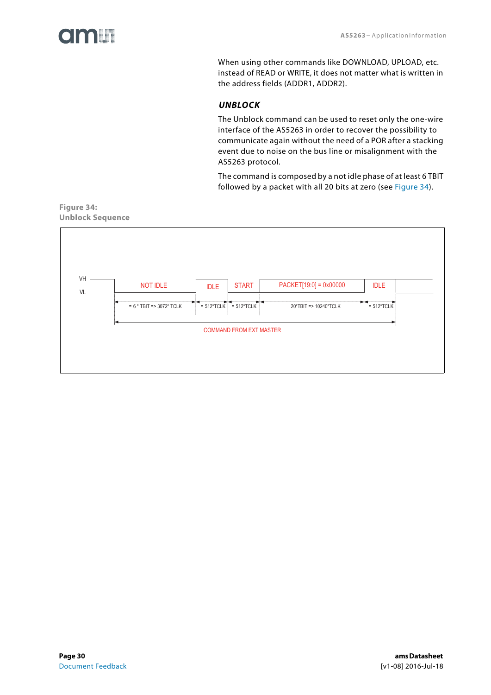<span id="page-29-1"></span>

When using other commands like DOWNLOAD, UPLOAD, etc. instead of READ or WRITE, it does not matter what is written in the address fields (ADDR1, ADDR2).

#### *UNBLOCK*

The Unblock command can be used to reset only the one-wire interface of the AS5263 in order to recover the possibility to communicate again without the need of a POR after a stacking event due to noise on the bus line or misalignment with the AS5263 protocol.

The command is composed by a not idle phase of at least 6 TBIT followed by a packet with all 20 bits at zero (see [Figure 34](#page-29-0)).

#### <span id="page-29-0"></span>**Figure 34: Unblock Sequence**

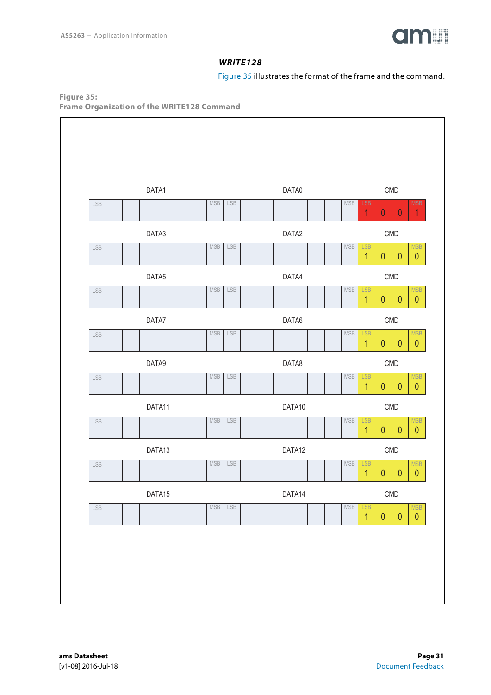

#### *WRITE128*

[Figure 35](#page-30-0) illustrates the format of the frame and the command.

<span id="page-30-1"></span><span id="page-30-0"></span>**Figure 35: Frame Organization of the WRITE128 Command** 

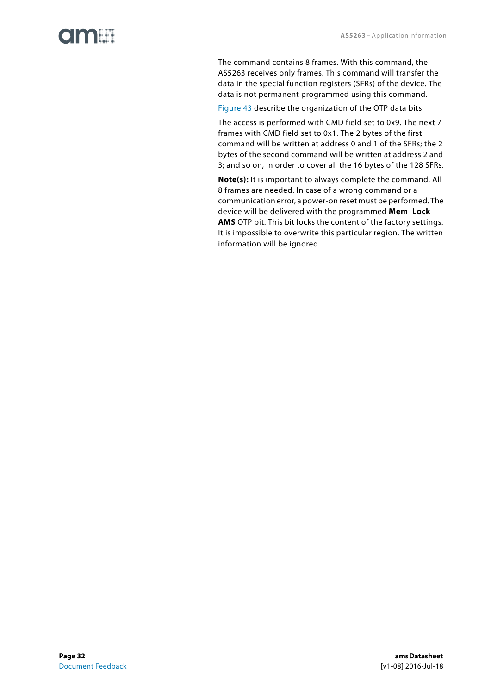# **Olinlin**

The command contains 8 frames. With this command, the AS5263 receives only frames. This command will transfer the data in the special function registers (SFRs) of the device. The data is not permanent programmed using this command.

[Figure 43](#page-37-0) describe the organization of the OTP data bits.

The access is performed with CMD field set to 0x9. The next 7 frames with CMD field set to 0x1. The 2 bytes of the first command will be written at address 0 and 1 of the SFRs; the 2 bytes of the second command will be written at address 2 and 3; and so on, in order to cover all the 16 bytes of the 128 SFRs.

**Note(s):** It is important to always complete the command. All 8 frames are needed. In case of a wrong command or a communication error, a power-on reset must be performed. The device will be delivered with the programmed **Mem\_Lock\_ AMS** OTP bit. This bit locks the content of the factory settings. It is impossible to overwrite this particular region. The written information will be ignored.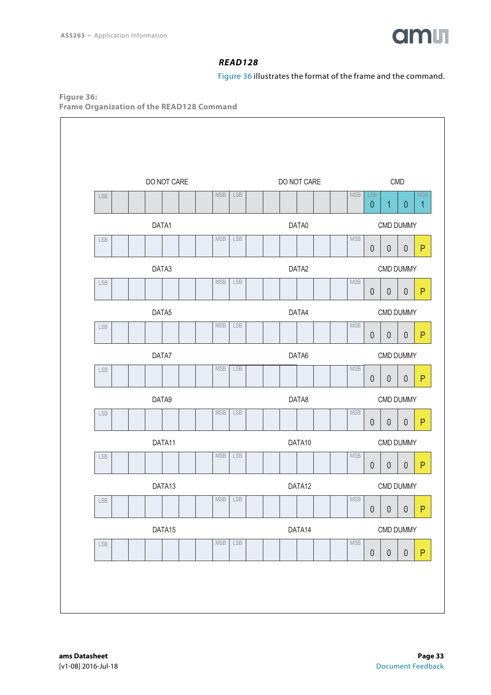

### *READ128*

[Figure 36](#page-32-0) illustrates the format of the frame and the command.

<span id="page-32-1"></span><span id="page-32-0"></span>**Figure 36: Frame Organization of the READ128 Command** 

|             |       | DO NOT CARE |                             |            |  | DO NOT CARE |            |                        |                  | <b>CMD</b> |
|-------------|-------|-------------|-----------------------------|------------|--|-------------|------------|------------------------|------------------|------------|
| LSB         |       |             | $\ensuremath{\mathsf{MSB}}$ | <b>LSB</b> |  |             | <b>MSB</b> | <b>LSB</b><br>$\theta$ | $\overline{1}$   | $\theta$   |
|             | DATA1 |             |                             |            |  | DATA0       |            |                        | <b>CMD DUMMY</b> |            |
| LSB         |       |             | <b>MSB</b>                  | LSB        |  |             | <b>MSB</b> | $\theta$               | $\boldsymbol{0}$ | $\theta$   |
|             | DATA3 |             |                             |            |  | DATA2       |            |                        | <b>CMD DUMMY</b> |            |
| ${\sf LSB}$ |       |             | $\ensuremath{\mathsf{MSB}}$ | LSB        |  |             | <b>MSB</b> | $\theta$               | $\boldsymbol{0}$ | $\theta$   |
|             | DATA5 |             |                             |            |  | DATA4       |            |                        | <b>CMD DUMMY</b> |            |
| LSB         |       |             | <b>MSB</b>                  | LSB        |  |             | <b>MSB</b> | $\theta$               | $\theta$         | $\theta$   |
|             | DATA7 |             |                             |            |  | DATA6       |            |                        | CMD DUMMY        |            |
| LSB         |       |             | <b>MSB</b>                  | LSB        |  |             | <b>MSB</b> | $\theta$               | $\boldsymbol{0}$ | $\theta$   |
|             | DATA9 |             |                             |            |  | DATA8       |            |                        | CMD DUMMY        |            |
| ${\sf LSB}$ |       |             | <b>MSB</b>                  | <b>LSB</b> |  |             | <b>MSB</b> | $\theta$               | $\boldsymbol{0}$ | $\theta$   |
|             |       | DATA11      |                             |            |  | DATA10      |            |                        | CMD DUMMY        |            |
| ${\sf LSB}$ |       |             | <b>MSB</b>                  | LSB        |  |             | <b>MSB</b> | $\theta$               | $\theta$         | 0          |
|             |       | DATA13      |                             |            |  | DATA12      |            |                        | CMD DUMMY        |            |
| ${\sf LSB}$ |       |             | $\ensuremath{\mathsf{MSB}}$ | LSB        |  |             | <b>MSB</b> | $\theta$               | $\boldsymbol{0}$ | $\theta$   |
|             |       | DATA15      |                             |            |  | DATA14      |            |                        | CMD DUMMY        |            |
| ${\sf LSB}$ |       |             | $\ensuremath{\mathsf{MSB}}$ | LSB        |  |             | <b>MSB</b> | $\theta$               | $\pmb{0}$        | $\theta$   |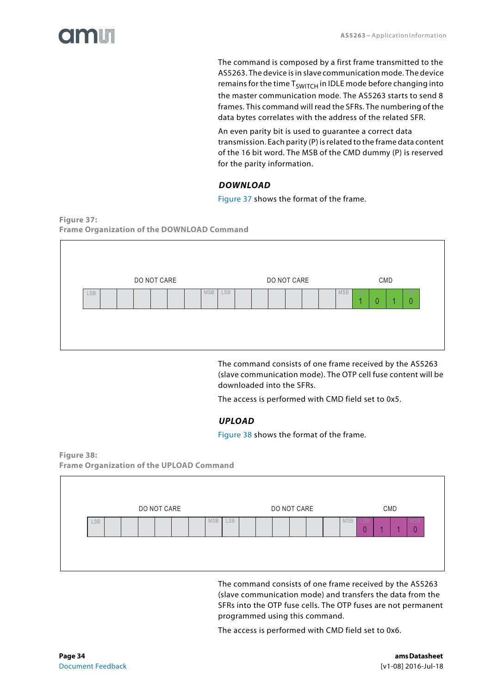

The command is composed by a first frame transmitted to the AS5263. The device is in slave communication mode. The device remains for the time  $T<sub>SWITCH</sub>$  in IDLE mode before changing into the master communication mode. The AS5263 starts to send 8 frames. This command will read the SFRs. The numbering of the data bytes correlates with the address of the related SFR.

An even parity bit is used to guarantee a correct data transmission. Each parity (P) is related to the frame data content of the 16 bit word. The MSB of the CMD dummy (P) is reserved for the parity information.

#### *DOWNLOAD*

[Figure 37](#page-33-0) shows the format of the frame.

<span id="page-33-2"></span><span id="page-33-0"></span>**Figure 37: Frame Organization of the DOWNLOAD Command** 

|            |  | DO NOT CARE |  |            |     |  | DO NOT CARE |  |            |     |   | CMD |                 |
|------------|--|-------------|--|------------|-----|--|-------------|--|------------|-----|---|-----|-----------------|
| <b>LSB</b> |  |             |  | <b>MSB</b> | LSB |  |             |  | <b>MSB</b> | LSE | 0 |     | <b>MSB</b><br>0 |
|            |  |             |  |            |     |  |             |  |            |     |   |     |                 |

The command consists of one frame received by the AS5263 (slave communication mode). The OTP cell fuse content will be downloaded into the SFRs.

The access is performed with CMD field set to 0x5.

#### *UPLOAD*

[Figure 38](#page-33-1) shows the format of the frame.

#### <span id="page-33-3"></span><span id="page-33-1"></span>**Figure 38: Frame Organization of the UPLOAD Command**



The command consists of one frame received by the AS5263 (slave communication mode) and transfers the data from the SFRs into the OTP fuse cells. The OTP fuses are not permanent programmed using this command.

The access is performed with CMD field set to 0x6.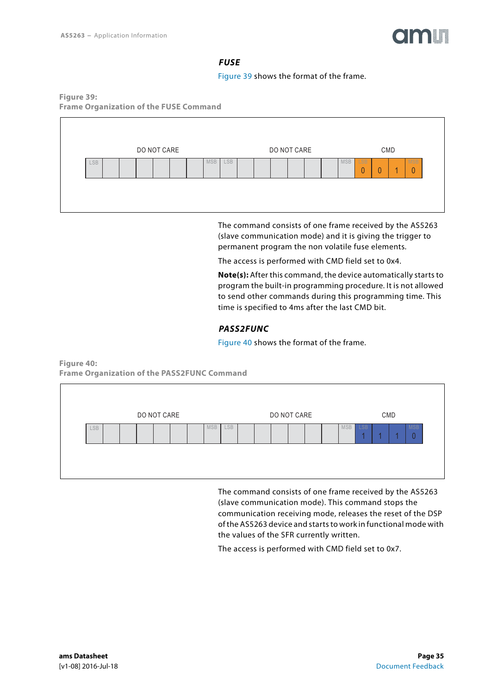

#### *FUSE*

[Figure 39](#page-34-0) shows the format of the frame.

<span id="page-34-2"></span><span id="page-34-0"></span>**Figure 39: Frame Organization of the FUSE Command** 



The command consists of one frame received by the AS5263 (slave communication mode) and it is giving the trigger to permanent program the non volatile fuse elements.

The access is performed with CMD field set to 0x4.

**Note(s):** After this command, the device automatically starts to program the built-in programming procedure. It is not allowed to send other commands during this programming time. This time is specified to 4ms after the last CMD bit.

#### *PASS2FUNC*

[Figure 40](#page-34-1) shows the format of the frame.

DO NOT CARE DO NOT CARE CMD LSB MSB LSB MSB LSB MSB 1 | 1 | 0

<span id="page-34-3"></span><span id="page-34-1"></span>**Figure 40: Frame Organization of the PASS2FUNC Command** 

> The command consists of one frame received by the AS5263 (slave communication mode). This command stops the communication receiving mode, releases the reset of the DSP of the AS5263 device and starts to work in functional mode with the values of the SFR currently written.

The access is performed with CMD field set to 0x7.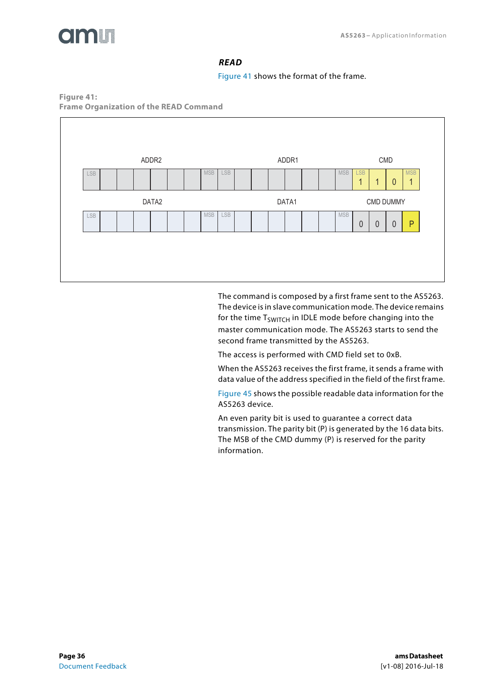<span id="page-35-1"></span>

#### *READ*

[Figure 41](#page-35-0) shows the format of the frame.

<span id="page-35-0"></span>**Figure 41: Frame Organization of the READ Command** 



The command is composed by a first frame sent to the AS5263. The device is in slave communication mode. The device remains for the time  $T_{SWITCH}$  in IDLE mode before changing into the master communication mode. The AS5263 starts to send the second frame transmitted by the AS5263.

The access is performed with CMD field set to 0xB.

When the AS5263 receives the first frame, it sends a frame with data value of the address specified in the field of the first frame.

[Figure 45](#page-45-0) shows the possible readable data information for the AS5263 device.

An even parity bit is used to guarantee a correct data transmission. The parity bit (P) is generated by the 16 data bits. The MSB of the CMD dummy (P) is reserved for the parity information.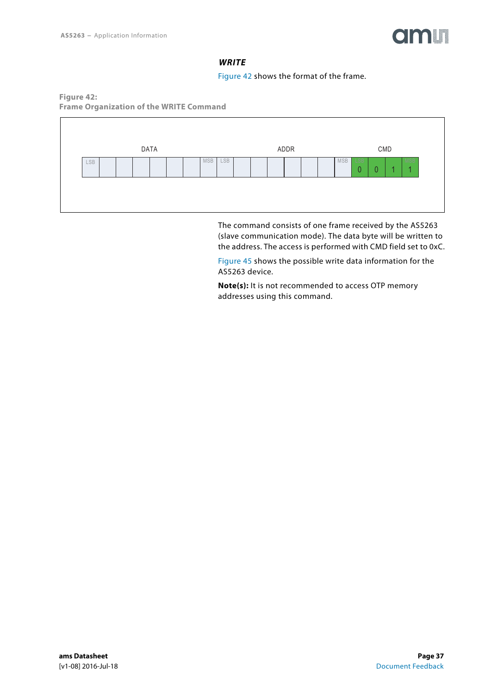

#### *WRITE*

[Figure 42](#page-36-0) shows the format of the frame.

<span id="page-36-1"></span><span id="page-36-0"></span>**Figure 42: Frame Organization of the WRITE Command** 



The command consists of one frame received by the AS5263 (slave communication mode). The data byte will be written to the address. The access is performed with CMD field set to 0xC.

[Figure 45](#page-45-0) shows the possible write data information for the AS5263 device.

**Note(s):** It is not recommended to access OTP memory addresses using this command.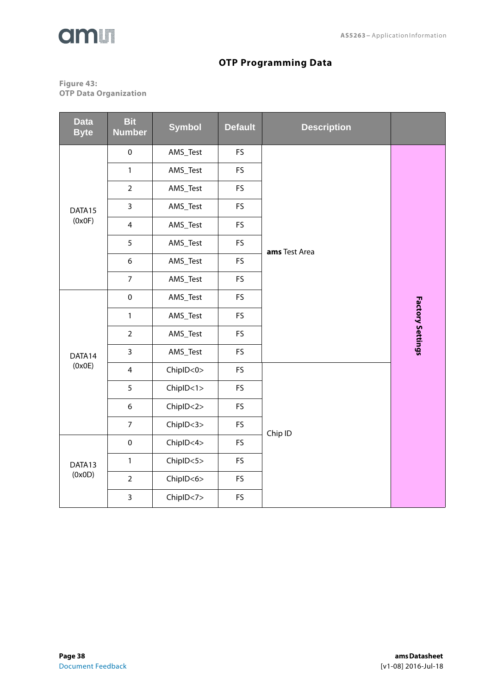



# **OTP Programming Data**

#### <span id="page-37-1"></span><span id="page-37-0"></span>**Figure 43: OTP Data Organization**

| <b>Data</b><br><b>Byte</b> | <b>Bit</b><br><b>Number</b> | <b>Symbol</b> | <b>Default</b> | <b>Description</b> |                         |  |
|----------------------------|-----------------------------|---------------|----------------|--------------------|-------------------------|--|
|                            | $\pmb{0}$                   | AMS_Test      | FS             |                    |                         |  |
|                            | $\mathbf{1}$                | AMS_Test      | FS             |                    |                         |  |
|                            | $\overline{2}$              | AMS_Test      | FS             |                    |                         |  |
| DATA15                     | $\overline{3}$              | AMS_Test      | <b>FS</b>      |                    |                         |  |
| (0x0F)                     | $\overline{4}$              | AMS_Test      | FS             |                    |                         |  |
|                            | 5                           | AMS_Test      | FS             | ams Test Area      |                         |  |
|                            | 6                           | AMS_Test      | <b>FS</b>      |                    |                         |  |
|                            | $\overline{7}$              | AMS_Test      | FS             |                    |                         |  |
|                            | $\pmb{0}$                   | AMS_Test      | <b>FS</b>      |                    |                         |  |
|                            | $\mathbf{1}$                | AMS_Test      | FS             |                    |                         |  |
|                            | $\overline{2}$              | AMS_Test      | FS             |                    | <b>Factory Settings</b> |  |
| DATA14                     | $\mathbf{3}$                | AMS_Test      | FS             |                    |                         |  |
| (0x0E)                     | $\overline{4}$              | ChipID<0>     | <b>FS</b>      |                    |                         |  |
|                            | 5                           | ChipID < 1>   | <b>FS</b>      |                    |                         |  |
|                            | 6                           | ChipID < 2>   | FS             |                    |                         |  |
|                            | $\boldsymbol{7}$            | ChipID<3>     | FS             | Chip ID            |                         |  |
|                            | $\pmb{0}$                   | ChipID<4>     | FS             |                    |                         |  |
| DATA13                     | $\mathbf{1}$                | ChipID<5>     | FS             |                    |                         |  |
| (0x0D)                     | $\overline{2}$              | ChipID<6>     | FS             |                    |                         |  |
|                            | $\mathbf{3}$                | ChipID<7>     | FS             |                    |                         |  |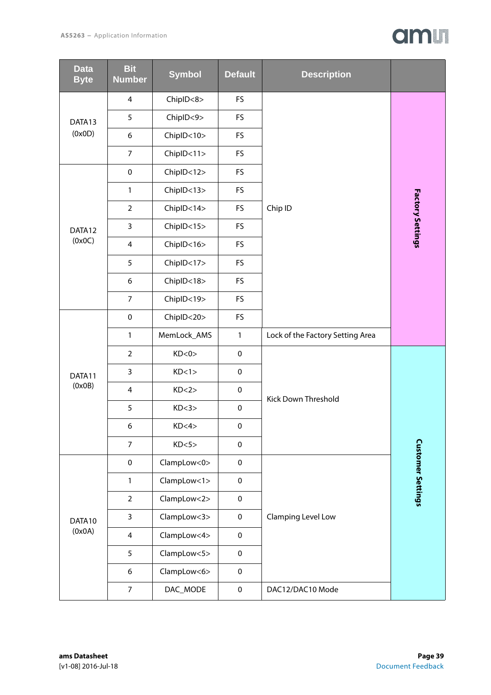# am

| <b>Data</b><br><b>Byte</b> | <b>Bit</b><br><b>Number</b> | <b>Symbol</b> | <b>Default</b> | <b>Description</b>               |                          |
|----------------------------|-----------------------------|---------------|----------------|----------------------------------|--------------------------|
|                            | 4                           | ChipID<8>     | <b>FS</b>      |                                  |                          |
| DATA13                     | 5                           | ChipID<9>     | <b>FS</b>      |                                  |                          |
| (0x0D)                     | 6                           | ChipID<10>    | FS             |                                  |                          |
|                            | $\overline{7}$              | ChipID<11>    | <b>FS</b>      |                                  |                          |
|                            | $\pmb{0}$                   | ChipID<12>    | <b>FS</b>      |                                  |                          |
|                            | $\mathbf{1}$                | ChiplD<13>    | FS             |                                  |                          |
|                            | $\overline{2}$              | ChiplD<14>    | FS             | Chip ID                          |                          |
| DATA12                     | $\mathbf{3}$                | ChiplD<15>    | <b>FS</b>      |                                  | Factory Settings         |
| (0x0C)                     | $\overline{4}$              | ChiplD<16>    | <b>FS</b>      |                                  |                          |
|                            | 5                           | ChiplD<17>    | <b>FS</b>      |                                  |                          |
|                            | 6                           | ChiplD<18>    | <b>FS</b>      |                                  |                          |
|                            | $\overline{7}$              | ChiplD<19>    | FS             |                                  |                          |
|                            | $\pmb{0}$                   | ChipID<20>    | FS             |                                  |                          |
|                            | $\mathbf{1}$                | MemLock_AMS   | $\mathbf{1}$   | Lock of the Factory Setting Area |                          |
|                            | $\overline{2}$              | KD<0>         | $\pmb{0}$      |                                  |                          |
| DATA11                     | 3                           | KD<1>         | $\pmb{0}$      |                                  |                          |
| (0x0B)                     | $\overline{4}$              | KD < 2 >      | $\pmb{0}$      | Kick Down Threshold              |                          |
|                            | 5                           | KD<3>         | 0              |                                  |                          |
|                            | 6                           | KD<4>         | $\pmb{0}$      |                                  |                          |
|                            | $\overline{7}$              | KD<5>         | $\pmb{0}$      |                                  |                          |
|                            | $\mathsf{O}\xspace$         | ClampLow<0>   | $\pmb{0}$      |                                  | <b>Customer Settings</b> |
|                            | $\mathbf{1}$                | ClampLow<1>   | $\pmb{0}$      |                                  |                          |
|                            | $\overline{2}$              | ClampLow<2>   | $\pmb{0}$      |                                  |                          |
| DATA10                     | 3                           | ClampLow<3>   | $\mathbf 0$    | Clamping Level Low               |                          |
| (0x0A)                     | $\overline{4}$              | ClampLow<4>   | $\pmb{0}$      |                                  |                          |
|                            | 5                           | ClampLow<5>   | $\pmb{0}$      |                                  |                          |
|                            | 6                           | ClampLow<6>   | $\mathbf 0$    |                                  |                          |
|                            | $\overline{7}$              | DAC_MODE      | $\pmb{0}$      | DAC12/DAC10 Mode                 |                          |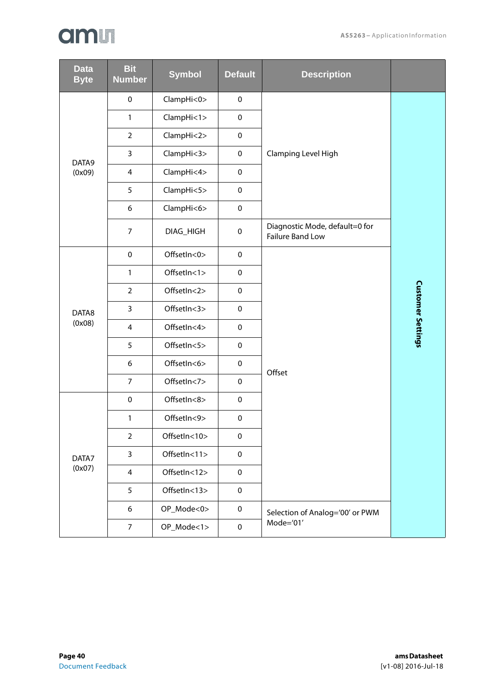| <b>Data</b><br><b>Byte</b> | <b>Bit</b><br><b>Number</b> | <b>Symbol</b> | <b>Default</b> | <b>Description</b>                                 |                          |
|----------------------------|-----------------------------|---------------|----------------|----------------------------------------------------|--------------------------|
|                            | $\pmb{0}$                   | ClampHi<0>    | $\pmb{0}$      |                                                    |                          |
|                            | 1                           | ClampHi<1>    | $\pmb{0}$      |                                                    |                          |
|                            | $\overline{2}$              | ClampHi<2>    | $\mathbf 0$    |                                                    |                          |
| DATA9                      | $\overline{3}$              | ClampHi<3>    | $\pmb{0}$      | Clamping Level High                                |                          |
| (0x09)                     | $\overline{\mathbf{4}}$     | ClampHi<4>    | $\pmb{0}$      |                                                    |                          |
|                            | 5                           | ClampHi<5>    | $\pmb{0}$      |                                                    |                          |
|                            | 6                           | ClampHi<6>    | $\pmb{0}$      |                                                    |                          |
|                            | $\overline{7}$              | DIAG_HIGH     | $\pmb{0}$      | Diagnostic Mode, default=0 for<br>Failure Band Low |                          |
|                            | $\mathbf 0$                 | OffsetIn<0>   | $\mathbf 0$    |                                                    |                          |
|                            | $\mathbf{1}$                | OffsetIn<1>   | $\pmb{0}$      |                                                    |                          |
|                            | $\overline{2}$              | OffsetIn<2>   | $\pmb{0}$      |                                                    |                          |
| DATA8                      | $\overline{3}$              | OffsetIn<3>   | $\mathbf 0$    |                                                    |                          |
| (0x08)                     | $\overline{4}$              | OffsetIn<4>   | $\pmb{0}$      |                                                    | <b>Customer Settings</b> |
|                            | 5                           | OffsetIn<5>   | $\pmb{0}$      |                                                    |                          |
|                            | 6                           | OffsetIn<6>   | $\pmb{0}$      | Offset                                             |                          |
|                            | $\overline{7}$              | OffsetIn<7>   | $\pmb{0}$      |                                                    |                          |
|                            | $\pmb{0}$                   | OffsetIn<8>   | $\pmb{0}$      |                                                    |                          |
|                            | 1                           | OffsetIn<9>   | $\pmb{0}$      |                                                    |                          |
| DATA7<br>(0x07)            | $\overline{2}$              | OffsetIn<10>  | $\pmb{0}$      |                                                    |                          |
|                            | 3                           | OffsetIn<11>  | $\pmb{0}$      |                                                    |                          |
|                            | $\overline{4}$              | OffsetIn<12>  | $\pmb{0}$      |                                                    |                          |
|                            | 5                           | OffsetIn<13>  | $\pmb{0}$      |                                                    |                          |
|                            | 6                           | OP_Mode<0>    | 0              | Selection of Analog='00' or PWM                    |                          |
|                            | $\overline{7}$              | OP_Mode<1>    | $\pmb{0}$      | Mode='01'                                          |                          |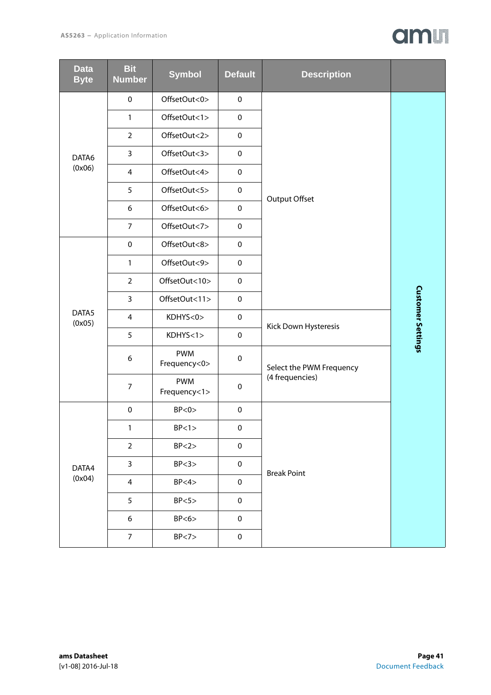

| <b>Data</b><br><b>Byte</b> | <b>Bit</b><br><b>Number</b> | <b>Symbol</b>              | <b>Default</b> | <b>Description</b>       |                          |
|----------------------------|-----------------------------|----------------------------|----------------|--------------------------|--------------------------|
|                            | $\pmb{0}$                   | OffsetOut<0>               | $\pmb{0}$      |                          |                          |
|                            | 1                           | OffsetOut<1>               | $\pmb{0}$      |                          |                          |
| DATA6                      | $\overline{2}$              | OffsetOut<2>               | $\pmb{0}$      |                          |                          |
|                            | 3                           | OffsetOut<3>               | $\pmb{0}$      |                          |                          |
| (0x06)                     | $\overline{4}$              | OffsetOut<4>               | $\pmb{0}$      |                          |                          |
|                            | 5                           | OffsetOut<5>               | $\pmb{0}$      | Output Offset            |                          |
|                            | 6                           | OffsetOut<6>               | $\pmb{0}$      |                          |                          |
|                            | $\overline{7}$              | OffsetOut<7>               | $\pmb{0}$      |                          |                          |
|                            | $\pmb{0}$                   | OffsetOut<8>               | $\pmb{0}$      |                          |                          |
|                            | $\mathbf{1}$                | OffsetOut<9>               | $\pmb{0}$      |                          |                          |
|                            | $\overline{2}$              | OffsetOut<10>              | $\pmb{0}$      |                          |                          |
|                            | $\overline{3}$              | OffsetOut<11>              | $\pmb{0}$      |                          |                          |
| DATA5<br>(0x05)            | $\overline{\mathbf{4}}$     | KDHYS<0>                   | $\pmb{0}$      | Kick Down Hysteresis     | <b>Customer Settings</b> |
|                            | 5                           | KDHYS < 1>                 | $\pmb{0}$      |                          |                          |
|                            | 6                           | <b>PWM</b><br>Frequency<0> | $\pmb{0}$      | Select the PWM Frequency |                          |
|                            | $\boldsymbol{7}$            | <b>PWM</b><br>Frequency<1> | $\pmb{0}$      | (4 frequencies)          |                          |
|                            | $\pmb{0}$                   | BP < 0                     | $\pmb{0}$      |                          |                          |
|                            | 1                           | BP < 1 >                   | $\pmb{0}$      |                          |                          |
|                            | $\overline{2}$              | BP < 2>                    | $\pmb{0}$      |                          |                          |
| DATA4<br>(0x04)            | $\mathsf{3}$                | BP < 3                     | $\pmb{0}$      | <b>Break Point</b>       |                          |
|                            | $\overline{4}$              | BP < 4                     | $\pmb{0}$      |                          |                          |
|                            | 5                           | BP < 5                     | $\pmb{0}$      |                          |                          |
|                            | 6                           | BP < 6                     | $\pmb{0}$      |                          |                          |
|                            | $\overline{7}$              | BP < 7>                    | $\pmb{0}$      |                          |                          |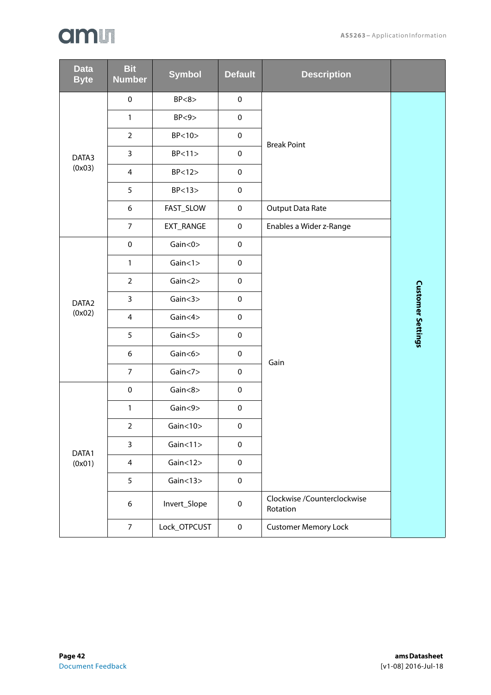| <b>Data</b><br><b>Byte</b> | <b>Bit</b><br><b>Number</b> | <b>Symbol</b>  | <b>Default</b> | <b>Description</b>                      |                          |
|----------------------------|-----------------------------|----------------|----------------|-----------------------------------------|--------------------------|
|                            | $\pmb{0}$                   | BP < 8         | $\pmb{0}$      |                                         |                          |
|                            | $\mathbf{1}$                | BP < 9         | $\pmb{0}$      |                                         |                          |
|                            | $\overline{2}$              | BP < 10        | $\pmb{0}$      | <b>Break Point</b>                      |                          |
| DATA3                      | 3                           | BP < 11        | $\pmb{0}$      |                                         |                          |
| (0x03)                     | $\overline{4}$              | BP < 12        | $\pmb{0}$      |                                         |                          |
|                            | 5                           | BP < 13        | $\pmb{0}$      |                                         |                          |
|                            | 6                           | FAST_SLOW      | $\pmb{0}$      | <b>Output Data Rate</b>                 |                          |
|                            | $\overline{7}$              | EXT_RANGE      | $\pmb{0}$      | Enables a Wider z-Range                 |                          |
|                            | $\pmb{0}$                   | Gain $<$ 0 $>$ | $\pmb{0}$      |                                         |                          |
|                            | $\mathbf{1}$                | Gain < 1 >     | $\pmb{0}$      |                                         |                          |
|                            | $\overline{2}$              | Gain < 2>      | $\pmb{0}$      |                                         |                          |
| DATA <sub>2</sub>          | $\overline{3}$              | Gain < 3       | $\pmb{0}$      |                                         | <b>Customer Settings</b> |
| (0x02)                     | $\overline{4}$              | Gain $<$ 4 $>$ | $\pmb{0}$      |                                         |                          |
|                            | 5                           | Gain $<$ 5 $>$ | $\pmb{0}$      |                                         |                          |
|                            | 6                           | Gain $<$ 6 $>$ | $\pmb{0}$      | Gain                                    |                          |
|                            | $\overline{7}$              | Gain $<$ 7 $>$ | $\pmb{0}$      |                                         |                          |
|                            | $\pmb{0}$                   | Gain $<8>$     | $\pmb{0}$      |                                         |                          |
|                            | $\mathbf{1}$                | Gain < 9       | $\pmb{0}$      |                                         |                          |
|                            | $\overline{2}$              | Gain < 10      | $\pmb{0}$      |                                         |                          |
| DATA1                      | $\mathsf{3}$                | Gain < 11      | $\pmb{0}$      |                                         |                          |
| (0x01)                     | $\overline{4}$              | Gain < 12      | $\pmb{0}$      |                                         |                          |
|                            | 5                           | Gain < 13      | $\pmb{0}$      |                                         |                          |
|                            | 6                           | Invert_Slope   | $\pmb{0}$      | Clockwise /Counterclockwise<br>Rotation |                          |
|                            | $\overline{7}$              | Lock_OTPCUST   | $\pmb{0}$      | <b>Customer Memory Lock</b>             |                          |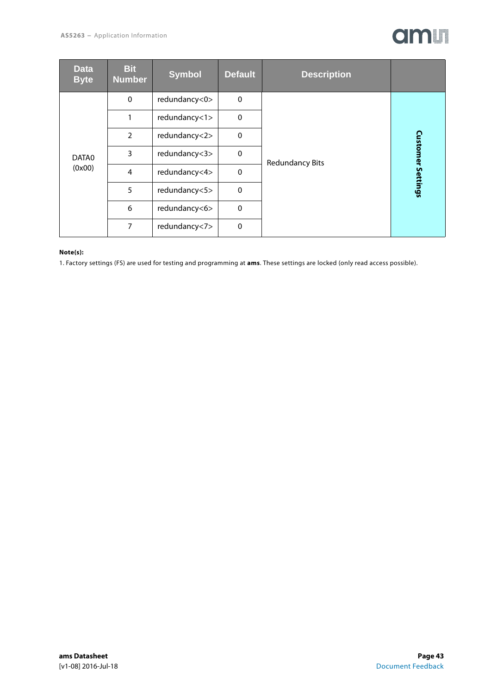| <b>Data</b><br><b>Byte</b> | <b>Bit</b><br><b>Number</b> | <b>Symbol</b> | <b>Default</b> | <b>Description</b>     |                          |
|----------------------------|-----------------------------|---------------|----------------|------------------------|--------------------------|
|                            | $\mathbf 0$                 | redundancy<0> | $\mathbf 0$    |                        |                          |
|                            |                             | redundancy<1> | $\Omega$       | <b>Redundancy Bits</b> |                          |
|                            | $\overline{2}$              | redundancy<2> | $\mathbf{0}$   |                        |                          |
| DATA0<br>(0x00)            | 3                           | redundancy<3> | $\mathbf{0}$   |                        | <b>Customer Settings</b> |
|                            | $\overline{4}$              | redundancy<4> | $\Omega$       |                        |                          |
|                            | 5                           | redundancy<5> | $\mathbf{0}$   |                        |                          |
|                            | 6                           | redundancy<6> | $\Omega$       |                        |                          |
|                            | 7                           | redundancy<7> | $\Omega$       |                        |                          |

#### **Note(s):**

1. Factory settings (FS) are used for testing and programming at **ams**. These settings are locked (only read access possible).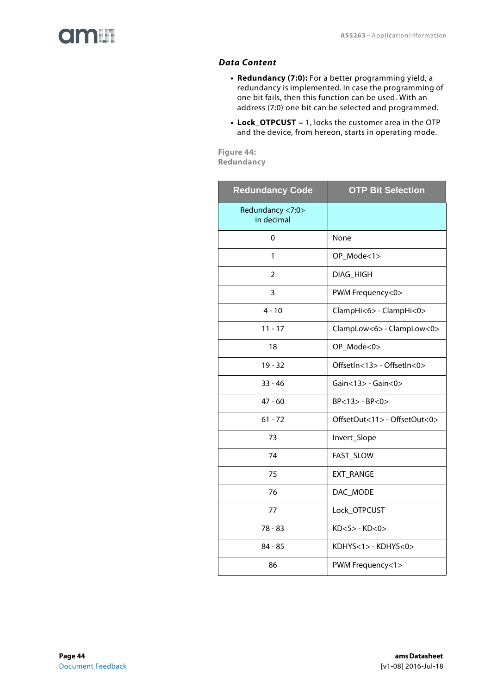<span id="page-43-0"></span>

#### *Data Content*

- **Redundancy (7:0):** For a better programming yield, a redundancy is implemented. In case the programming of one bit fails, then this function can be used. With an address (7:0) one bit can be selected and programmed.
- **Lock\_OTPCUST** = 1, locks the customer area in the OTP and the device, from hereon, starts in operating mode.

**Figure 44: Redundancy** 

| <b>Redundancy Code</b>         | <b>OTP Bit Selection</b>     |
|--------------------------------|------------------------------|
| Redundancy <7:0><br>in decimal |                              |
| 0                              | None                         |
| 1                              | OP_Mode<1>                   |
| $\overline{2}$                 | DIAG_HIGH                    |
| 3                              | PWM Frequency<0>             |
| $4 - 10$                       | ClampHi<6> - ClampHi<0>      |
| $11 - 17$                      | ClampLow<6> - ClampLow<0>    |
| 18                             | OP_Mode<0>                   |
| $19 - 32$                      | OffsetIn<13> - OffsetIn<0>   |
| $33 - 46$                      | $Gain < 13$ - $Gain < 0$     |
| $47 - 60$                      | $BP < 13$ - $BP < 0$         |
| $61 - 72$                      | OffsetOut<11> - OffsetOut<0> |
| 73                             | Invert_Slope                 |
| 74                             | FAST_SLOW                    |
| 75                             | EXT_RANGE                    |
| 76                             | DAC_MODE                     |
| 77                             | Lock_OTPCUST                 |
| $78 - 83$                      | $KD<5>$ - KD $<$ 0 $>$       |
| $84 - 85$                      | KDHYS<1> - KDHYS<0>          |
| 86                             | PWM Frequency<1>             |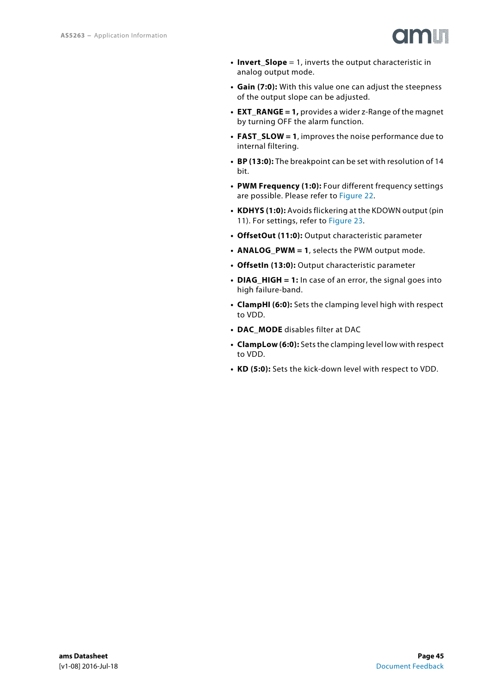

- **Invert\_Slope** = 1, inverts the output characteristic in analog output mode.
- **Gain (7:0):** With this value one can adjust the steepness of the output slope can be adjusted.
- **EXT\_RANGE = 1,** provides a wider z-Range of the magnet by turning OFF the alarm function.
- **FAST\_SLOW = 1**, improves the noise performance due to internal filtering.
- **BP (13:0):** The breakpoint can be set with resolution of 14 bit.
- **PWM Frequency (1:0):** Four different frequency settings are possible. Please refer to [Figure 22](#page-21-1).
- **KDHYS (1:0):** Avoids flickering at the KDOWN output (pin 11). For settings, refer to [Figure 23](#page-21-0).
- **OffsetOut (11:0):** Output characteristic parameter
- **ANALOG\_PWM = 1**, selects the PWM output mode.
- **OffsetIn (13:0):** Output characteristic parameter
- **DIAG\_HIGH = 1:** In case of an error, the signal goes into high failure-band.
- **ClampHI (6:0):** Sets the clamping level high with respect to VDD.
- **DAC\_MODE** disables filter at DAC
- **ClampLow (6:0):** Sets the clamping level low with respect to VDD.
- **KD (5:0):** Sets the kick-down level with respect to VDD.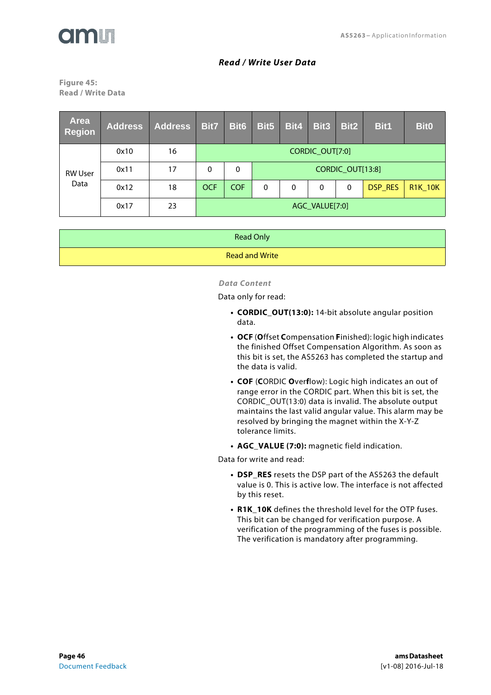

#### *Read / Write User Data*

<span id="page-45-1"></span><span id="page-45-0"></span>**Figure 45: Read / Write Data** 

| <b>Area</b><br><b>Region</b> | <b>Address</b> | <b>Address</b> | Bit7                       | <b>Bit6</b> | Bit5     | Bit4     | <b>Bit3</b> | Bit2     | Bit1    | <b>Bit0</b>    |
|------------------------------|----------------|----------------|----------------------------|-------------|----------|----------|-------------|----------|---------|----------------|
|                              | 0x10           | 16             | CORDIC_OUT[7:0]            |             |          |          |             |          |         |                |
| <b>RW User</b><br>Data       | 0x11           | 17             | CORDIC_OUT[13:8]<br>0<br>0 |             |          |          |             |          |         |                |
|                              | 0x12           | 18             | <b>OCF</b>                 | <b>COF</b>  | $\Omega$ | $\Omega$ | 0           | $\Omega$ | DSP RES | <b>R1K 10K</b> |
|                              | 0x17           | 23             | AGC_VALUE[7:0]             |             |          |          |             |          |         |                |

<span id="page-45-2"></span>

| <b>Read Only</b>      |
|-----------------------|
| <b>Read and Write</b> |

#### *Data Content*

Data only for read:

- **CORDIC OUT(13:0):** 14-bit absolute angular position data.
- **OCF** (**O**ffset **C**ompensation **F**inished): logic high indicates the finished Offset Compensation Algorithm. As soon as this bit is set, the AS5263 has completed the startup and the data is valid.
- **COF** (**C**ORDIC **O**ver**f**low): Logic high indicates an out of range error in the CORDIC part. When this bit is set, the CORDIC\_OUT(13:0) data is invalid. The absolute output maintains the last valid angular value. This alarm may be resolved by bringing the magnet within the X-Y-Z tolerance limits.
- **AGC\_VALUE (7:0):** magnetic field indication.

Data for write and read:

- **DSP\_RES** resets the DSP part of the AS5263 the default value is 0. This is active low. The interface is not affected by this reset.
- **R1K\_10K** defines the threshold level for the OTP fuses. This bit can be changed for verification purpose. A verification of the programming of the fuses is possible. The verification is mandatory after programming.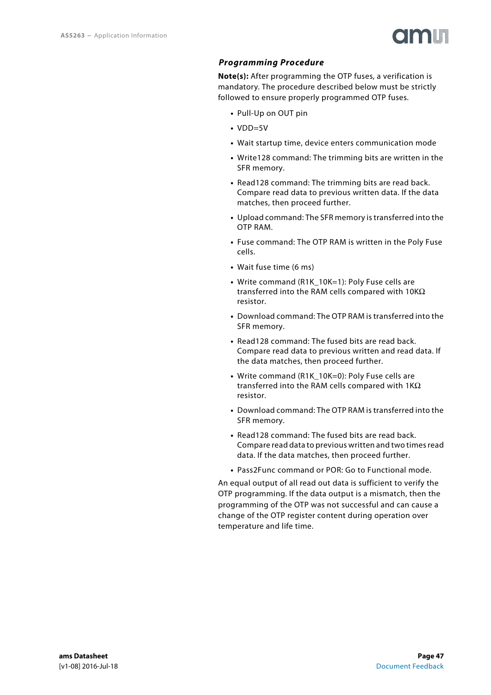

#### <span id="page-46-0"></span>*Programming Procedure*

**Note(s):** After programming the OTP fuses, a verification is mandatory. The procedure described below must be strictly followed to ensure properly programmed OTP fuses.

- **•** Pull-Up on OUT pin
- **•** VDD=5V
- **•** Wait startup time, device enters communication mode
- **•** Write128 command: The trimming bits are written in the SFR memory.
- **•** Read128 command: The trimming bits are read back. Compare read data to previous written data. If the data matches, then proceed further.
- **•** Upload command: The SFR memory is transferred into the OTP RAM.
- **•** Fuse command: The OTP RAM is written in the Poly Fuse cells.
- **•** Wait fuse time (6 ms)
- **•** Write command (R1K\_10K=1): Poly Fuse cells are transferred into the RAM cells compared with  $10KΩ$ resistor.
- **•** Download command: The OTP RAM is transferred into the SFR memory.
- **•** Read128 command: The fused bits are read back. Compare read data to previous written and read data. If the data matches, then proceed further.
- Write command (R1K 10K=0): Poly Fuse cells are transferred into the RAM cells compared with  $1K\Omega$ resistor.
- **•** Download command: The OTP RAM is transferred into the SFR memory.
- **•** Read128 command: The fused bits are read back. Compare read data to previous written and two times read data. If the data matches, then proceed further.
- **•** Pass2Func command or POR: Go to Functional mode.

An equal output of all read out data is sufficient to verify the OTP programming. If the data output is a mismatch, then the programming of the OTP was not successful and can cause a change of the OTP register content during operation over temperature and life time.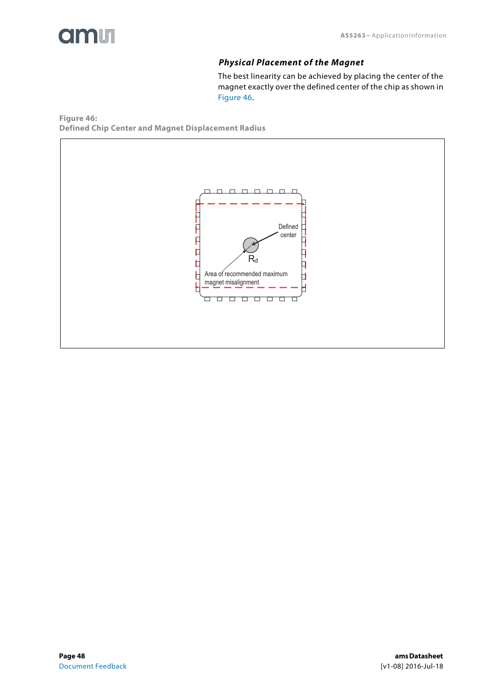<span id="page-47-1"></span>

#### *Physical Placement of the Magnet*

The best linearity can be achieved by placing the center of the magnet exactly over the defined center of the chip as shown in [Figure 46.](#page-47-0)

<span id="page-47-0"></span>**Figure 46: Defined Chip Center and Magnet Displacement Radius** 

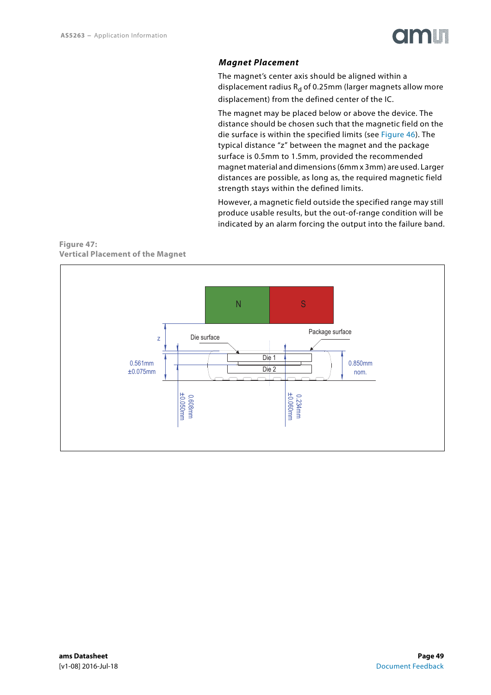

#### *Magnet Placement*

<span id="page-48-0"></span>The magnet's center axis should be aligned within a displacement radius  $R_d$  of 0.25mm (larger magnets allow more displacement) from the defined center of the IC.

The magnet may be placed below or above the device. The distance should be chosen such that the magnetic field on the die surface is within the specified limits (see [Figure 46\)](#page-47-0). The typical distance "z" between the magnet and the package surface is 0.5mm to 1.5mm, provided the recommended magnet material and dimensions (6mm x 3mm) are used. Larger distances are possible, as long as, the required magnetic field strength stays within the defined limits.

However, a magnetic field outside the specified range may still produce usable results, but the out-of-range condition will be indicated by an alarm forcing the output into the failure band.

#### **Figure 47: Vertical Placement of the Magnet**

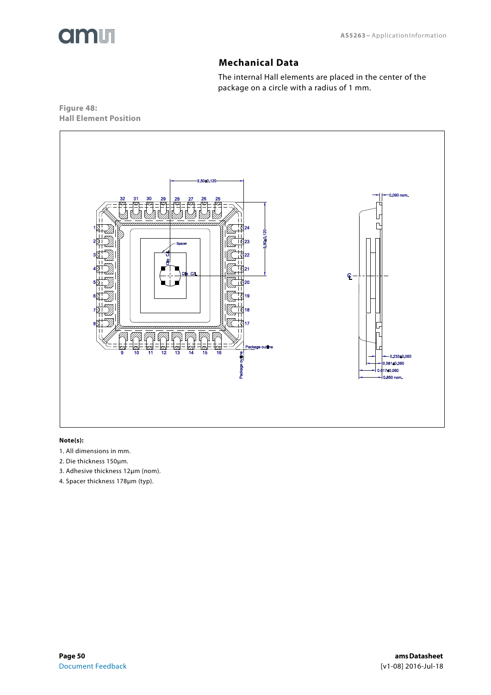<span id="page-49-0"></span>

# **Mechanical Data**

The internal Hall elements are placed in the center of the package on a circle with a radius of 1 mm.

**Figure 48: Hall Element Position** 



#### **Note(s):**

- 1. All dimensions in mm.
- 2. Die thickness 150μm.
- 3. Adhesive thickness 12μm (nom).
- 4. Spacer thickness 178μm (typ).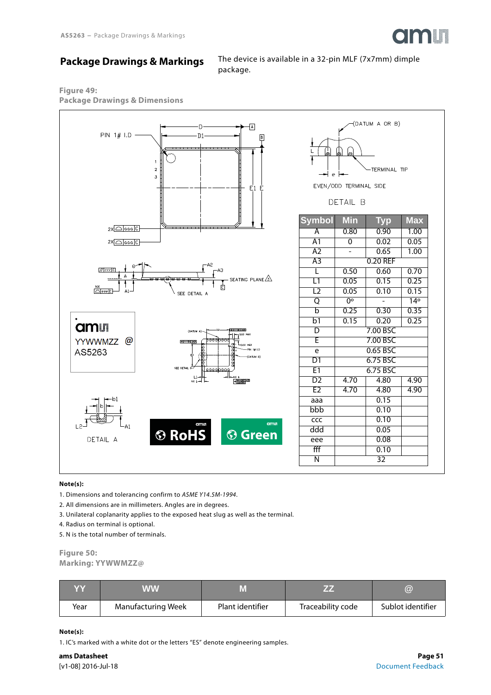

# <span id="page-50-0"></span>**Package Drawings & Markings**

The device is available in a 32-pin MLF (7x7mm) dimple package.

# **Figure 49:**





| (DATUM A OR B)<br>$\frac{1}{L}$<br>"<br>$\mathbb Q$<br>Ŧ<br>-TERMINAL TIP<br>┥<br>$\epsilon$<br>EVEN/ODD TERMINAL SIDE<br>DETAIL B |                |              |                         |  |  |
|------------------------------------------------------------------------------------------------------------------------------------|----------------|--------------|-------------------------|--|--|
| <b>Symbol</b>                                                                                                                      | Min            | Тур          | $\overline{\text{Max}}$ |  |  |
| Ā                                                                                                                                  | 0.80           | 0.90         | 1.00                    |  |  |
| A1                                                                                                                                 | $\overline{0}$ | 0.02<br>0.65 | 0.05                    |  |  |
| A2<br>A3                                                                                                                           |                | 0.20 REF     | 1.00                    |  |  |
| Γ                                                                                                                                  | 0.50           | 0.60         | 0.70                    |  |  |
| $\overline{\mathsf{L1}}$                                                                                                           | 0.05           | 0.15         | 0.25                    |  |  |
| L2                                                                                                                                 | 0.05           | 0.10         | 0.15                    |  |  |
| Q                                                                                                                                  | $0^{\circ}$    |              | 14 <sup>°</sup>         |  |  |
| $\overline{b}$                                                                                                                     | 0.25           | 0.30         | 0.35                    |  |  |
| b1                                                                                                                                 | 0.15           | 0.20         | 0.25                    |  |  |
| D                                                                                                                                  |                | 7.00 BSC     |                         |  |  |
| Ē                                                                                                                                  |                | 7.00 BSC     |                         |  |  |
| e                                                                                                                                  |                | 0.65 BSC     |                         |  |  |
| D1                                                                                                                                 |                | 6.75 BSC     |                         |  |  |
| E1                                                                                                                                 |                | 6.75 BSC     |                         |  |  |
| D2                                                                                                                                 | 4.70           | 4.80         | 4.90                    |  |  |
| E2                                                                                                                                 | 4.70           | 4.80         | 4.90                    |  |  |
| aaa                                                                                                                                |                | 0.15         |                         |  |  |
| bbb                                                                                                                                |                | 0.10         |                         |  |  |
| ccc                                                                                                                                |                | 0.10         |                         |  |  |
| ddd                                                                                                                                |                | 0.05         |                         |  |  |
| eee                                                                                                                                |                | 0.08         |                         |  |  |
| fff                                                                                                                                |                | 0.10         |                         |  |  |
| N                                                                                                                                  |                | 32           |                         |  |  |

#### **Note(s):**

1. Dimensions and tolerancing confirm to ASME Y14.5M-1994.

- 2. All dimensions are in millimeters. Angles are in degrees.
- 3. Unilateral coplanarity applies to the exposed heat slug as well as the terminal.
- 4. Radius on terminal is optional.
- 5. N is the total number of terminals.

# **Figure 50:**

**Marking: YYWWMZZ@** 

| YY   | WW                        |                  |                   | $\bm{\widehat{\omega}}$ |
|------|---------------------------|------------------|-------------------|-------------------------|
| Year | <b>Manufacturing Week</b> | Plant identifier | Traceability code | Sublot identifier       |

#### **Note(s):**

1. IC's marked with a white dot or the letters "ES" denote engineering samples.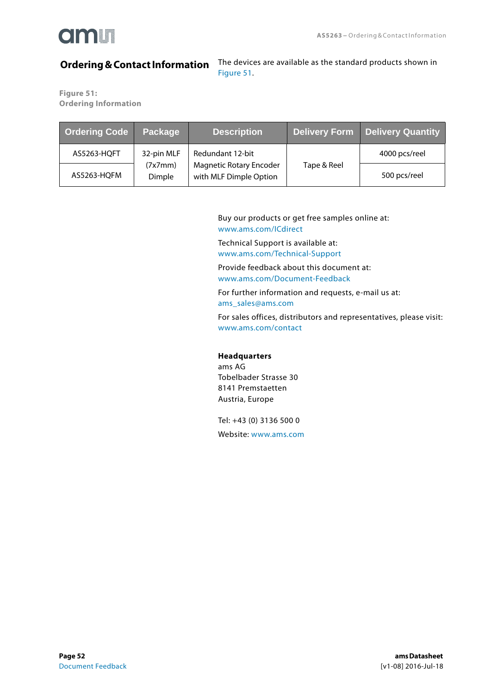

# <span id="page-51-0"></span>**[Ordering & Contact Information](#page-51-1)**

The devices are available as the standard products shown in Figure 51.

<span id="page-51-1"></span>**Figure 51: Ordering Information** 

| <b>Ordering Code</b> | <b>Package</b>    | <b>Description</b>                                       | <b>Delivery Form</b> | <b>Delivery Quantity</b> |
|----------------------|-------------------|----------------------------------------------------------|----------------------|--------------------------|
| AS5263-HQFT          | 32-pin MLF        | Redundant 12-bit                                         |                      | 4000 pcs/reel            |
| AS5263-HQFM          | (7x7mm)<br>Dimple | <b>Magnetic Rotary Encoder</b><br>with MLF Dimple Option | Tape & Reel          | 500 pcs/reel             |

Buy our products or get free samples online at: <www.ams.com/ICdirect>

Technical Support is available at: <www.ams.com/Technical-Support>

Provide feedback about this document at: <www.ams.com/Document-Feedback>

For further information and requests, e-mail us at: [ams\\_sales@ams.com](mailto:ams_sales@ams.com)

For sales offices, distributors and representatives, please visit: <www.ams.com/contact>

#### **Headquarters**

ams AG Tobelbader Strasse 30 8141 Premstaetten Austria, Europe

Tel: +43 (0) 3136 500 0

Website: <www.ams.com>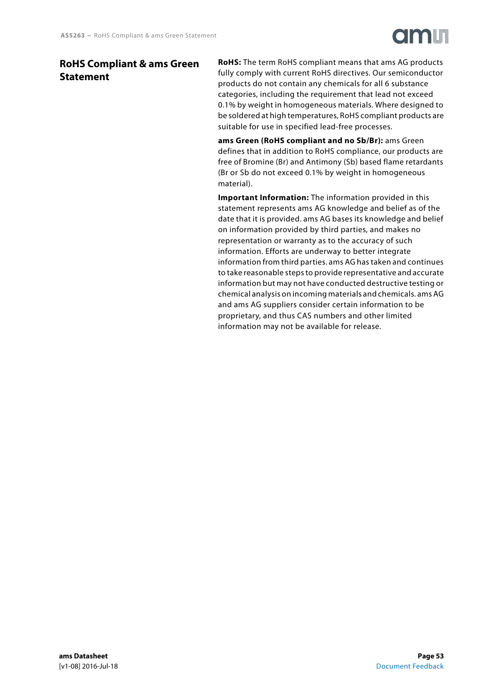# <span id="page-52-0"></span>**RoHS Compliant & ams Green Statement**

**RoHS:** The term RoHS compliant means that ams AG products fully comply with current RoHS directives. Our semiconductor products do not contain any chemicals for all 6 substance categories, including the requirement that lead not exceed 0.1% by weight in homogeneous materials. Where designed to be soldered at high temperatures, RoHS compliant products are suitable for use in specified lead-free processes.

**ams Green (RoHS compliant and no Sb/Br):** ams Green defines that in addition to RoHS compliance, our products are free of Bromine (Br) and Antimony (Sb) based flame retardants (Br or Sb do not exceed 0.1% by weight in homogeneous material).

**Important Information:** The information provided in this statement represents ams AG knowledge and belief as of the date that it is provided. ams AG bases its knowledge and belief on information provided by third parties, and makes no representation or warranty as to the accuracy of such information. Efforts are underway to better integrate information from third parties. ams AG has taken and continues to take reasonable steps to provide representative and accurate information but may not have conducted destructive testing or chemical analysis on incoming materials and chemicals. ams AG and ams AG suppliers consider certain information to be proprietary, and thus CAS numbers and other limited information may not be available for release.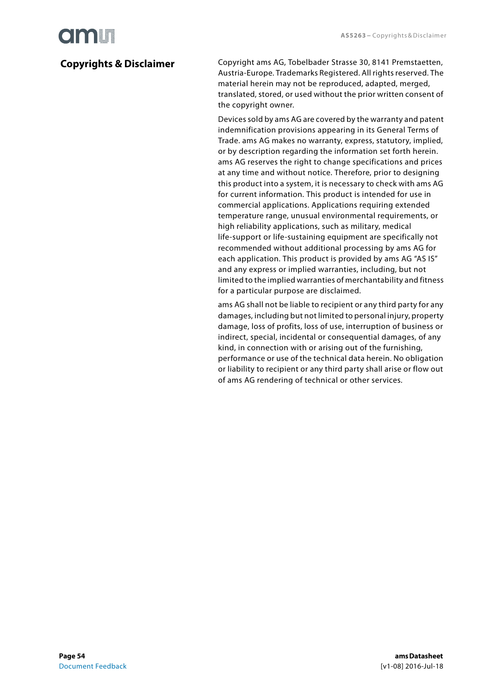# **Olaalit**

# <span id="page-53-0"></span>**Copyrights & Disclaimer**

Copyright ams AG, Tobelbader Strasse 30, 8141 Premstaetten, Austria-Europe. Trademarks Registered. All rights reserved. The material herein may not be reproduced, adapted, merged, translated, stored, or used without the prior written consent of the copyright owner.

Devices sold by ams AG are covered by the warranty and patent indemnification provisions appearing in its General Terms of Trade. ams AG makes no warranty, express, statutory, implied, or by description regarding the information set forth herein. ams AG reserves the right to change specifications and prices at any time and without notice. Therefore, prior to designing this product into a system, it is necessary to check with ams AG for current information. This product is intended for use in commercial applications. Applications requiring extended temperature range, unusual environmental requirements, or high reliability applications, such as military, medical life-support or life-sustaining equipment are specifically not recommended without additional processing by ams AG for each application. This product is provided by ams AG "AS IS" and any express or implied warranties, including, but not limited to the implied warranties of merchantability and fitness for a particular purpose are disclaimed.

ams AG shall not be liable to recipient or any third party for any damages, including but not limited to personal injury, property damage, loss of profits, loss of use, interruption of business or indirect, special, incidental or consequential damages, of any kind, in connection with or arising out of the furnishing, performance or use of the technical data herein. No obligation or liability to recipient or any third party shall arise or flow out of ams AG rendering of technical or other services.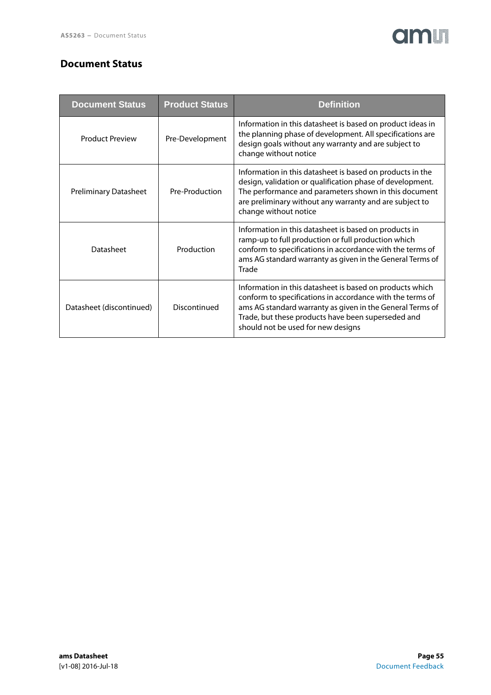# <span id="page-54-0"></span>**Document Status**

| <b>Document Status</b>       | <b>Product Status</b> | Definition                                                                                                                                                                                                                                                                     |
|------------------------------|-----------------------|--------------------------------------------------------------------------------------------------------------------------------------------------------------------------------------------------------------------------------------------------------------------------------|
| <b>Product Preview</b>       | Pre-Development       | Information in this datasheet is based on product ideas in<br>the planning phase of development. All specifications are<br>design goals without any warranty and are subject to<br>change without notice                                                                       |
| <b>Preliminary Datasheet</b> | Pre-Production        | Information in this datasheet is based on products in the<br>design, validation or qualification phase of development.<br>The performance and parameters shown in this document<br>are preliminary without any warranty and are subject to<br>change without notice            |
| Datasheet                    | Production            | Information in this datasheet is based on products in<br>ramp-up to full production or full production which<br>conform to specifications in accordance with the terms of<br>ams AG standard warranty as given in the General Terms of<br>Trade                                |
| Datasheet (discontinued)     | Discontinued          | Information in this datasheet is based on products which<br>conform to specifications in accordance with the terms of<br>ams AG standard warranty as given in the General Terms of<br>Trade, but these products have been superseded and<br>should not be used for new designs |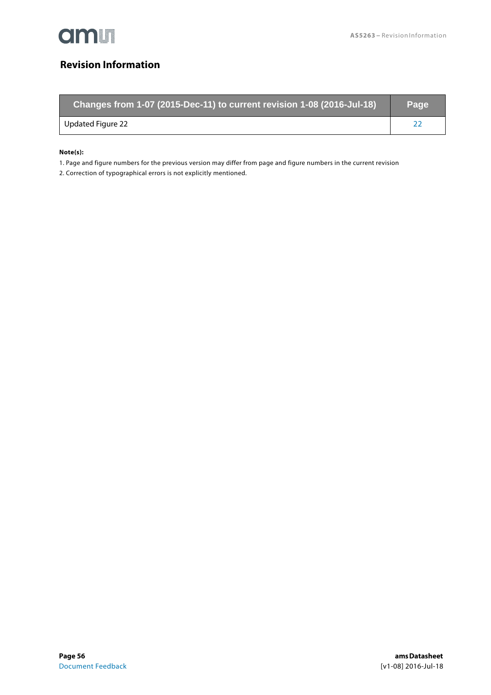

# <span id="page-55-0"></span>**Revision Information**

| Changes from 1-07 (2015-Dec-11) to current revision 1-08 (2016-Jul-18) | Page |
|------------------------------------------------------------------------|------|
| Updated Figure 22                                                      |      |

#### **Note(s):**

1. Page and figure numbers for the previous version may differ from page and figure numbers in the current revision

2. Correction of typographical errors is not explicitly mentioned.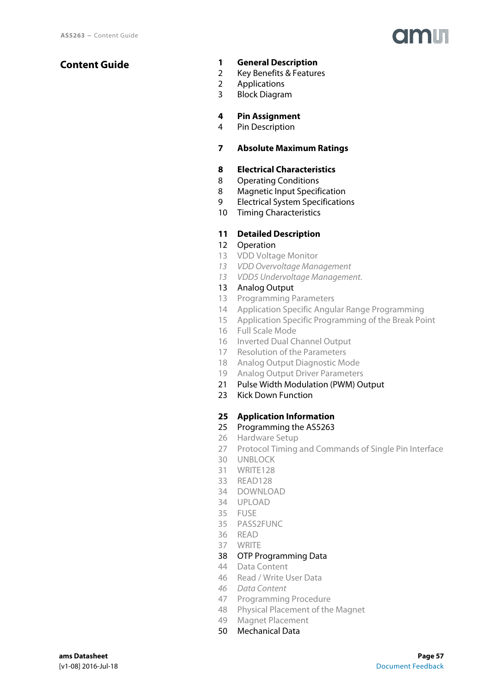### <span id="page-56-0"></span>**Content Guide**

#### **[1 General Description](#page-0-0)**

- [2 Key Benefits & Features](#page-1-0)
- [2 Applications](#page-1-1)
- [3 Block Diagram](#page-2-1)

#### **[4 Pin Assignment](#page-3-1)**

[4 Pin Description](#page-3-2)

#### **[7 Absolute Maximum Ratings](#page-6-1)**

#### **[8 Electrical Characteristics](#page-7-0)**

- [8 Operating Conditions](#page-7-2)
- [8 Magnetic Input Specification](#page-7-1)
- [9 Electrical System Specifications](#page-8-2)
- [10 Timing Characteristics](#page-9-0)

#### **[11 Detailed Description](#page-10-0)**

- [12 Operation](#page-11-1)
- [13 VDD Voltage Monitor](#page-12-0)
- [13 VDD Overvoltage Management](#page-12-1)
- [13 VDD5 Undervoltage Management.](#page-12-2)

#### [13 Analog Output](#page-12-3)

- [13 Programming Parameters](#page-12-4)
- [14 Application Specific Angular Range Programming](#page-13-1)
- [15 Application Specific Programming of the Break Point](#page-14-0)
- [16 Full Scale Mode](#page-15-2)
- [16 Inverted Dual Channel Output](#page-15-3)
- [17 Resolution of the Parameters](#page-16-1)
- [18 Analog Output Diagnostic Mode](#page-17-0)
- [19 Analog Output Driver Parameters](#page-18-0)
- [21 Pulse Width Modulation \(PWM\) Output](#page-20-0)
- [23 Kick Down Function](#page-22-0)

#### **[25 Application Information](#page-24-0)**

#### [25 Programming the AS5263](#page-24-1)

- [26 Hardware Setup](#page-25-0)
- [27 Protocol Timing and Commands of Single Pin Interface](#page-26-0)
- [30 UNBLOCK](#page-29-1)
- [31 WRITE128](#page-30-1)
- [33 READ128](#page-32-1)
- [34 DOWNLOAD](#page-33-2)
- [34 UPLOAD](#page-33-3)
- [35 FUSE](#page-34-2)
- [35 PASS2FUNC](#page-34-3)
- [36 READ](#page-35-1)
- [37 WRITE](#page-36-1)
- [38 OTP Programming Data](#page-37-1)
- [44 Data Content](#page-43-0)
- [46 Read / Write User Data](#page-45-1)
- [46 Data Content](#page-45-2)
- [47 Programming Procedure](#page-46-0)
- [48 Physical Placement of the Magnet](#page-47-1)
- [49 Magnet Placement](#page-48-0)
- [50 Mechanical Data](#page-49-0)